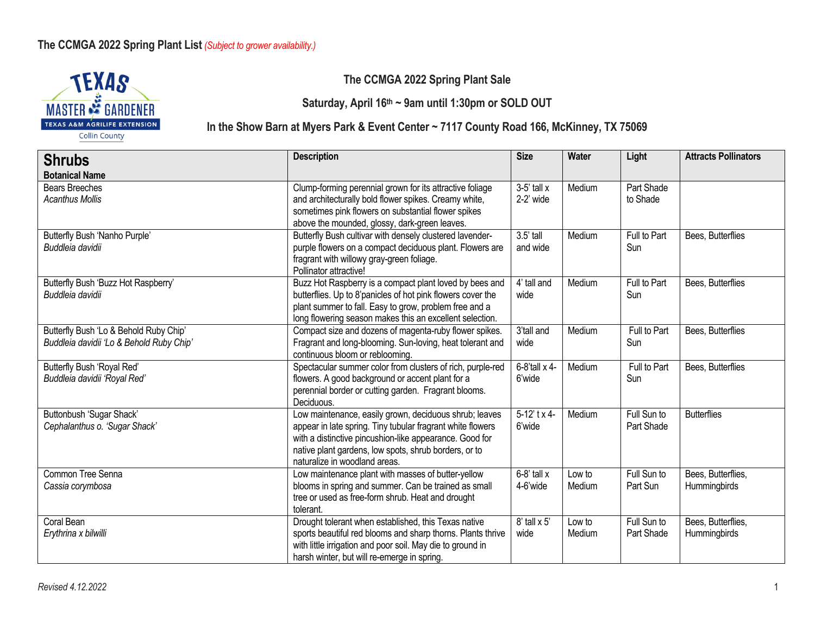

#### **The CCMGA 2022 Spring Plant Sale**

**Saturday, April 16th ~ 9am until 1:30pm or SOLD OUT**

#### **In the Show Barn at Myers Park & Event Center ~ 7117 County Road 166, McKinney, TX 75069**

**Shrubs Botanical Name Description Size Water Light Attracts Pollinators** Bears Breeches *Acanthus Mollis* Clump-forming perennial grown for its attractive foliage and architecturally bold flower spikes. Creamy white, sometimes pink flowers on substantial flower spikes above the mounded, glossy, dark-green leaves.  $3-5'$  tall x 2-2' wide Medium Part Shade to Shade Butterfly Bush 'Nanho Purple' *Buddleia davidii* Butterfly Bush cultivar with densely clustered lavenderpurple flowers on a compact deciduous plant. Flowers are fragrant with willowy gray-green foliage. Pollinator attractive! 3.5' tall and wide Medium | Full to Part Sun Bees, Butterflies Butterfly Bush 'Buzz Hot Raspberry' *Buddleia davidii* Buzz Hot Raspberry is a compact plant loved by bees and butterflies. Up to 8'panicles of hot pink flowers cover the plant summer to fall. Easy to grow, problem free and a long flowering season makes this an excellent selection. 4' tall and wide Medium | Full to Part Sun Bees, Butterflies Butterfly Bush 'Lo & Behold Ruby Chip' *Buddleia davidii 'Lo & Behold Ruby Chip'* Compact size and dozens of magenta-ruby flower spikes. Fragrant and long-blooming. Sun-loving, heat tolerant and continuous bloom or reblooming. 3'tall and wide Medium **Full to Part** Sun Bees, Butterflies Butterfly Bush 'Royal Red' *Buddleia davidii 'Royal Red'* Spectacular summer color from clusters of rich, purple-red flowers. A good background or accent plant for a perennial border or cutting garden. Fragrant blooms. Deciduous. 6-8'tall x 4- 6'wide Medium **Full to Part** Sun Bees, Butterflies Buttonbush 'Sugar Shack' *Cephalanthus o. 'Sugar Shack'* Low maintenance, easily grown, deciduous shrub; leaves appear in late spring. Tiny tubular fragrant white flowers with a distinctive pincushion-like appearance. Good for native plant gardens, low spots, shrub borders, or to naturalize in woodland areas. 5-12' t x 4- 6'wide Medium | Full Sun to Part Shade **Butterflies** Common Tree Senna *Cassia corymbosa* Low maintenance plant with masses of butter-yellow blooms in spring and summer. Can be trained as small tree or used as free-form shrub. Heat and drought tolerant.  $6-8'$  tall x 4-6'wide Low to Medium Full Sun to Part Sun Bees, Butterflies, **Hummingbirds** Coral Bean *Erythrina x bilwilli* Drought tolerant when established, this Texas native sports beautiful red blooms and sharp thorns. Plants thrive with little irrigation and poor soil. May die to ground in harsh winter, but will re-emerge in spring.  $8'$  tall  $\times 5'$ wide Low to Medium Full Sun to Part Shade Bees, Butterflies, **Hummingbirds**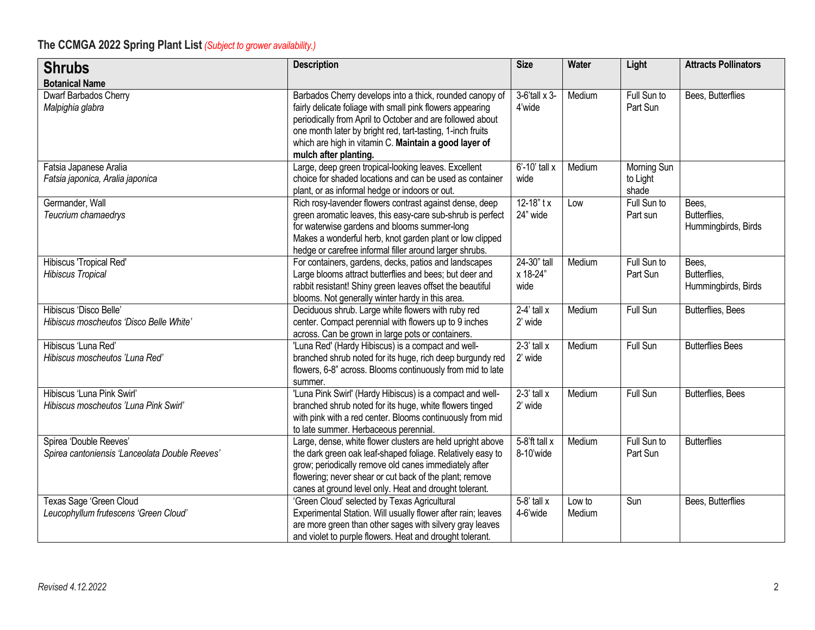| <b>Shrubs</b>                                                            | <b>Description</b>                                                                                                                                                                                                                                                                                                                 | <b>Size</b>                     | Water            | Light                            | <b>Attracts Pollinators</b>                  |
|--------------------------------------------------------------------------|------------------------------------------------------------------------------------------------------------------------------------------------------------------------------------------------------------------------------------------------------------------------------------------------------------------------------------|---------------------------------|------------------|----------------------------------|----------------------------------------------|
| <b>Botanical Name</b>                                                    |                                                                                                                                                                                                                                                                                                                                    |                                 |                  |                                  |                                              |
| Dwarf Barbados Cherry<br>Malpighia glabra                                | Barbados Cherry develops into a thick, rounded canopy of<br>fairly delicate foliage with small pink flowers appearing<br>periodically from April to October and are followed about<br>one month later by bright red, tart-tasting, 1-inch fruits<br>which are high in vitamin C. Maintain a good layer of<br>mulch after planting. | 3-6'tall x 3-<br>4'wide         | Medium           | Full Sun to<br>Part Sun          | Bees, Butterflies                            |
| Fatsia Japanese Aralia<br>Fatsia japonica, Aralia japonica               | Large, deep green tropical-looking leaves. Excellent<br>choice for shaded locations and can be used as container<br>plant, or as informal hedge or indoors or out.                                                                                                                                                                 | 6'-10' tall x<br>wide           | Medium           | Morning Sun<br>to Light<br>shade |                                              |
| Germander, Wall<br>Teucrium chamaedrys                                   | Rich rosy-lavender flowers contrast against dense, deep<br>green aromatic leaves, this easy-care sub-shrub is perfect<br>for waterwise gardens and blooms summer-long<br>Makes a wonderful herb, knot garden plant or low clipped<br>hedge or carefree informal filler around larger shrubs.                                       | $12 - 18"$ tx<br>24" wide       | Low              | Full Sun to<br>Part sun          | Bees.<br>Butterflies,<br>Hummingbirds, Birds |
| Hibiscus 'Tropical Red'<br><b>Hibiscus Tropical</b>                      | For containers, gardens, decks, patios and landscapes<br>Large blooms attract butterflies and bees; but deer and<br>rabbit resistant! Shiny green leaves offset the beautiful<br>blooms. Not generally winter hardy in this area.                                                                                                  | 24-30" tall<br>x 18-24"<br>wide | Medium           | Full Sun to<br>Part Sun          | Bees.<br>Butterflies,<br>Hummingbirds, Birds |
| Hibiscus 'Disco Belle'<br>Hibiscus moscheutos 'Disco Belle White'        | Deciduous shrub. Large white flowers with ruby red<br>center. Compact perennial with flowers up to 9 inches<br>across. Can be grown in large pots or containers.                                                                                                                                                                   | $2-4'$ tall x<br>2' wide        | Medium           | Full Sun                         | Butterflies, Bees                            |
| Hibiscus 'Luna Red'<br>Hibiscus moscheutos 'Luna Red'                    | 'Luna Red' (Hardy Hibiscus) is a compact and well-<br>branched shrub noted for its huge, rich deep burgundy red<br>flowers, 6-8" across. Blooms continuously from mid to late<br>summer.                                                                                                                                           | $2-3'$ tall x<br>2' wide        | Medium           | <b>Full Sun</b>                  | <b>Butterflies Bees</b>                      |
| Hibiscus 'Luna Pink Swirl'<br>Hibiscus moscheutos 'Luna Pink Swirl'      | 'Luna Pink Swirl' (Hardy Hibiscus) is a compact and well-<br>branched shrub noted for its huge, white flowers tinged<br>with pink with a red center. Blooms continuously from mid<br>to late summer. Herbaceous perennial.                                                                                                         | $2-3'$ tall x<br>2' wide        | Medium           | Full Sun                         | Butterflies, Bees                            |
| Spirea 'Double Reeves'<br>Spirea cantoniensis 'Lanceolata Double Reeves' | Large, dense, white flower clusters are held upright above<br>the dark green oak leaf-shaped foliage. Relatively easy to<br>grow; periodically remove old canes immediately after<br>flowering; never shear or cut back of the plant; remove<br>canes at ground level only. Heat and drought tolerant.                             | 5-8'ft tall x<br>8-10'wide      | Medium           | Full Sun to<br>Part Sun          | <b>Butterflies</b>                           |
| Texas Sage 'Green Cloud<br>Leucophyllum frutescens 'Green Cloud'         | 'Green Cloud' selected by Texas Agricultural<br>Experimental Station. Will usually flower after rain; leaves<br>are more green than other sages with silvery gray leaves<br>and violet to purple flowers. Heat and drought tolerant.                                                                                               | $5-8'$ tall x<br>4-6'wide       | Low to<br>Medium | Sun                              | Bees, Butterflies                            |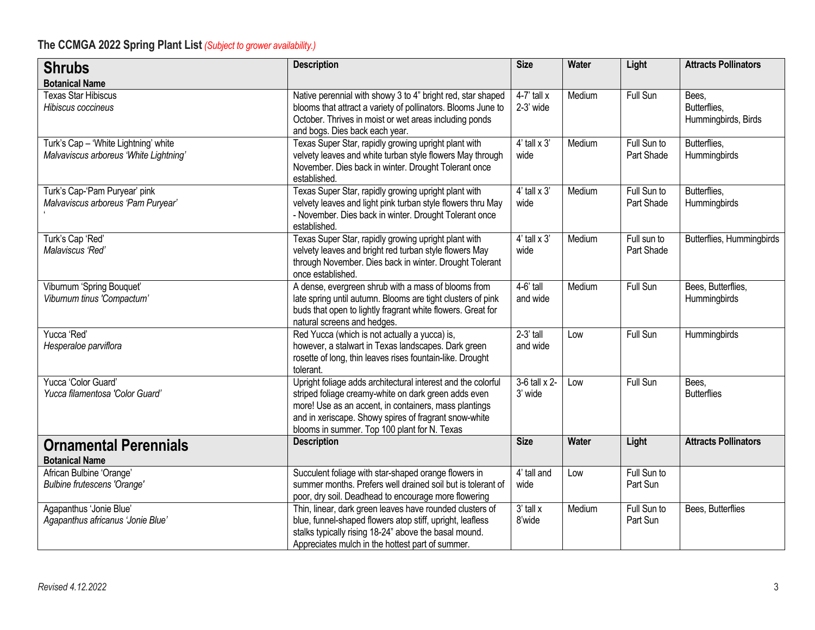| <b>Shrubs</b>                                                                  | <b>Description</b>                                                                                                                                                                                                                                                                     | <b>Size</b>                   | Water        | Light                     | <b>Attracts Pollinators</b>                  |
|--------------------------------------------------------------------------------|----------------------------------------------------------------------------------------------------------------------------------------------------------------------------------------------------------------------------------------------------------------------------------------|-------------------------------|--------------|---------------------------|----------------------------------------------|
| <b>Botanical Name</b>                                                          |                                                                                                                                                                                                                                                                                        |                               |              |                           |                                              |
| <b>Texas Star Hibiscus</b><br>Hibiscus coccineus                               | Native perennial with showy 3 to 4" bright red, star shaped<br>blooms that attract a variety of pollinators. Blooms June to<br>October. Thrives in moist or wet areas including ponds<br>and bogs. Dies back each year.                                                                | $4-7'$ tall x<br>2-3' wide    | Medium       | Full Sun                  | Bees.<br>Butterflies,<br>Hummingbirds, Birds |
| Turk's Cap - 'White Lightning' white<br>Malvaviscus arboreus 'White Lightning' | Texas Super Star, rapidly growing upright plant with<br>velvety leaves and white turban style flowers May through<br>November. Dies back in winter. Drought Tolerant once<br>established.                                                                                              | $4'$ tall $\times 3'$<br>wide | Medium       | Full Sun to<br>Part Shade | Butterflies,<br>Hummingbirds                 |
| Turk's Cap-'Pam Puryear' pink<br>Malvaviscus arboreus 'Pam Puryear'            | Texas Super Star, rapidly growing upright plant with<br>velvety leaves and light pink turban style flowers thru May<br>- November. Dies back in winter. Drought Tolerant once<br>established.                                                                                          | $4'$ tall $\times 3'$<br>wide | Medium       | Full Sun to<br>Part Shade | Butterflies,<br>Hummingbirds                 |
| Turk's Cap 'Red'<br>Malaviscus 'Red'                                           | Texas Super Star, rapidly growing upright plant with<br>velvety leaves and bright red turban style flowers May<br>through November. Dies back in winter. Drought Tolerant<br>once established.                                                                                         | $4'$ tall $\times 3'$<br>wide | Medium       | Full sun to<br>Part Shade | Butterflies, Hummingbirds                    |
| Viburnum 'Spring Bouquet'<br>Viburnum tinus 'Compactum'                        | A dense, evergreen shrub with a mass of blooms from<br>late spring until autumn. Blooms are tight clusters of pink<br>buds that open to lightly fragrant white flowers. Great for<br>natural screens and hedges.                                                                       | $4-6$ ' tall<br>and wide      | Medium       | Full Sun                  | Bees, Butterflies,<br>Hummingbirds           |
| Yucca 'Red'<br>Hesperaloe parviflora                                           | Red Yucca (which is not actually a yucca) is,<br>however, a stalwart in Texas landscapes. Dark green<br>rosette of long, thin leaves rises fountain-like. Drought<br>tolerant.                                                                                                         | $2-3'$ tall<br>and wide       | Low          | Full Sun                  | Hummingbirds                                 |
| Yucca 'Color Guard'<br>Yucca filamentosa 'Color Guard'                         | Upright foliage adds architectural interest and the colorful<br>striped foliage creamy-white on dark green adds even<br>more! Use as an accent, in containers, mass plantings<br>and in xeriscape. Showy spires of fragrant snow-white<br>blooms in summer. Top 100 plant for N. Texas | 3-6 tall x 2-<br>3' wide      | Low          | Full Sun                  | Bees.<br><b>Butterflies</b>                  |
| <b>Ornamental Perennials</b><br><b>Botanical Name</b>                          | <b>Description</b>                                                                                                                                                                                                                                                                     | <b>Size</b>                   | <b>Water</b> | Light                     | <b>Attracts Pollinators</b>                  |
| African Bulbine 'Orange'<br><b>Bulbine frutescens 'Orange'</b>                 | Succulent foliage with star-shaped orange flowers in<br>summer months. Prefers well drained soil but is tolerant of<br>poor, dry soil. Deadhead to encourage more flowering                                                                                                            | 4' tall and<br>wide           | Low          | Full Sun to<br>Part Sun   |                                              |
| Agapanthus 'Jonie Blue'<br>Agapanthus africanus 'Jonie Blue'                   | Thin, linear, dark green leaves have rounded clusters of<br>blue, funnel-shaped flowers atop stiff, upright, leafless<br>stalks typically rising 18-24" above the basal mound.<br>Appreciates mulch in the hottest part of summer.                                                     | $3'$ tall $x$<br>8'wide       | Medium       | Full Sun to<br>Part Sun   | Bees, Butterflies                            |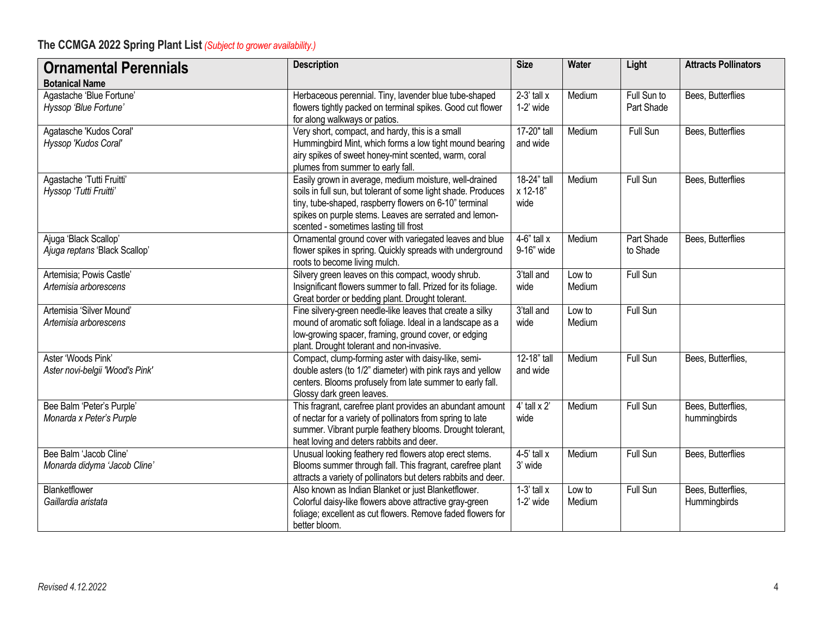| <b>Ornamental Perennials</b>                                               | <b>Description</b>                                                                                                                                                                                                                                                                    | <b>Size</b>                            | <b>Water</b>     | Light                     | <b>Attracts Pollinators</b>        |
|----------------------------------------------------------------------------|---------------------------------------------------------------------------------------------------------------------------------------------------------------------------------------------------------------------------------------------------------------------------------------|----------------------------------------|------------------|---------------------------|------------------------------------|
| <b>Botanical Name</b><br>Agastache 'Blue Fortune'<br>Hyssop 'Blue Fortune' | Herbaceous perennial. Tiny, lavender blue tube-shaped<br>flowers tightly packed on terminal spikes. Good cut flower<br>for along walkways or patios.                                                                                                                                  | $2-3'$ tall x<br>$1-2'$ wide           | Medium           | Full Sun to<br>Part Shade | Bees, Butterflies                  |
| Agatasche 'Kudos Coral'<br>Hyssop 'Kudos Coral'                            | Very short, compact, and hardy, this is a small<br>Hummingbird Mint, which forms a low tight mound bearing<br>airy spikes of sweet honey-mint scented, warm, coral<br>plumes from summer to early fall.                                                                               | 17-20" tall<br>and wide                | Medium           | Full Sun                  | Bees, Butterflies                  |
| Agastache 'Tutti Fruitti'<br>Hyssop 'Tutti Fruitti'                        | Easily grown in average, medium moisture, well-drained<br>soils in full sun, but tolerant of some light shade. Produces<br>tiny, tube-shaped, raspberry flowers on 6-10" terminal<br>spikes on purple stems. Leaves are serrated and lemon-<br>scented - sometimes lasting till frost | 18-24" tall<br>x 12-18"<br>wide        | Medium           | Full Sun                  | Bees, Butterflies                  |
| Ajuga 'Black Scallop'<br>Ajuga reptans 'Black Scallop'                     | Ornamental ground cover with variegated leaves and blue<br>flower spikes in spring. Quickly spreads with underground<br>roots to become living mulch.                                                                                                                                 | $4-6"$ tall x<br>9-16" wide            | Medium           | Part Shade<br>to Shade    | Bees, Butterflies                  |
| Artemisia; Powis Castle'<br>Artemisia arborescens                          | Silvery green leaves on this compact, woody shrub.<br>Insignificant flowers summer to fall. Prized for its foliage.<br>Great border or bedding plant. Drought tolerant.                                                                                                               | 3'tall and<br>wide                     | Low to<br>Medium | Full Sun                  |                                    |
| Artemisia 'Silver Mound'<br>Artemisia arborescens                          | Fine silvery-green needle-like leaves that create a silky<br>mound of aromatic soft foliage. Ideal in a landscape as a<br>low-growing spacer, framing, ground cover, or edging<br>plant. Drought tolerant and non-invasive.                                                           | 3'tall and<br>wide                     | Low to<br>Medium | Full Sun                  |                                    |
| Aster 'Woods Pink'<br>Aster novi-belgii 'Wood's Pink'                      | Compact, clump-forming aster with daisy-like, semi-<br>double asters (to 1/2" diameter) with pink rays and yellow<br>centers. Blooms profusely from late summer to early fall.<br>Glossy dark green leaves.                                                                           | 12-18" tall<br>and wide                | Medium           | Full Sun                  | Bees, Butterflies,                 |
| Bee Balm 'Peter's Purple'<br>Monarda x Peter's Purple                      | This fragrant, carefree plant provides an abundant amount<br>of nectar for a variety of pollinators from spring to late<br>summer. Vibrant purple feathery blooms. Drought tolerant,<br>heat loving and deters rabbits and deer.                                                      | $4'$ tall $\times 2'$<br>wide          | Medium           | Full Sun                  | Bees, Butterflies,<br>hummingbirds |
| Bee Balm 'Jacob Cline'<br>Monarda didyma 'Jacob Cline'                     | Unusual looking feathery red flowers atop erect stems.<br>Blooms summer through fall. This fragrant, carefree plant<br>attracts a variety of pollinators but deters rabbits and deer.                                                                                                 | $4-5'$ tall x<br>3' wide               | Medium           | Full Sun                  | Bees, Butterflies                  |
| Blanketflower<br>Gaillardia aristata                                       | Also known as Indian Blanket or just Blanketflower.<br>Colorful daisy-like flowers above attractive gray-green<br>foliage; excellent as cut flowers. Remove faded flowers for<br>better bloom.                                                                                        | $\overline{1}$ -3' tall x<br>1-2' wide | Low to<br>Medium | Full Sun                  | Bees, Butterflies,<br>Hummingbirds |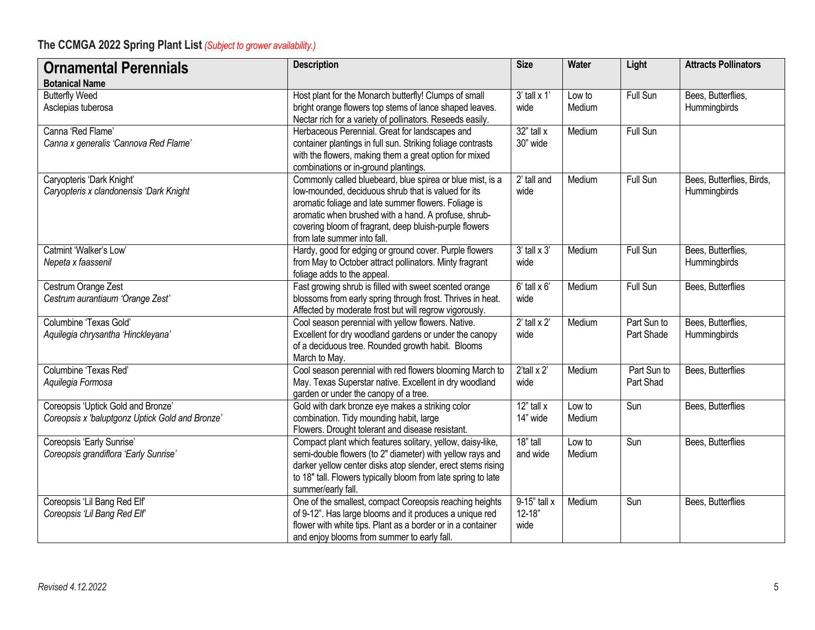| <b>Ornamental Perennials</b>                                                          | <b>Description</b>                                                                                                                                                                                                                                                                                                        | <b>Size</b>                        | Water            | Light                     | <b>Attracts Pollinators</b>               |
|---------------------------------------------------------------------------------------|---------------------------------------------------------------------------------------------------------------------------------------------------------------------------------------------------------------------------------------------------------------------------------------------------------------------------|------------------------------------|------------------|---------------------------|-------------------------------------------|
| <b>Botanical Name</b>                                                                 |                                                                                                                                                                                                                                                                                                                           |                                    |                  |                           |                                           |
| <b>Butterfly Weed</b><br>Asclepias tuberosa                                           | Host plant for the Monarch butterfly! Clumps of small<br>bright orange flowers top stems of lance shaped leaves.<br>Nectar rich for a variety of pollinators. Reseeds easily.                                                                                                                                             | $3'$ tall $\times 1'$<br>wide      | Low to<br>Medium | Full Sun                  | Bees, Butterflies,<br>Hummingbirds        |
| Canna 'Red Flame'<br>Canna x generalis 'Cannova Red Flame'                            | Herbaceous Perennial. Great for landscapes and<br>container plantings in full sun. Striking foliage contrasts<br>with the flowers, making them a great option for mixed<br>combinations or in-ground plantings.                                                                                                           | $32"$ tall x<br>30" wide           | Medium           | Full Sun                  |                                           |
| Caryopteris 'Dark Knight'<br>Caryopteris x clandonensis 'Dark Knight                  | Commonly called bluebeard, blue spirea or blue mist, is a<br>low-mounded, deciduous shrub that is valued for its<br>aromatic foliage and late summer flowers. Foliage is<br>aromatic when brushed with a hand. A profuse, shrub-<br>covering bloom of fragrant, deep bluish-purple flowers<br>from late summer into fall. | 2' tall and<br>wide                | Medium           | Full Sun                  | Bees, Butterflies, Birds,<br>Hummingbirds |
| Catmint 'Walker's Low'<br>Nepeta x faassenil                                          | Hardy, good for edging or ground cover. Purple flowers<br>from May to October attract pollinators. Minty fragrant<br>foliage adds to the appeal.                                                                                                                                                                          | $3'$ tall $\times 3'$<br>wide      | Medium           | Full Sun                  | Bees, Butterflies,<br>Hummingbirds        |
| Cestrum Orange Zest<br>Cestrum aurantiaum 'Orange Zest'                               | Fast growing shrub is filled with sweet scented orange<br>blossoms from early spring through frost. Thrives in heat.<br>Affected by moderate frost but will regrow vigorously.                                                                                                                                            | $6'$ tall $\times 6'$<br>wide      | Medium           | Full Sun                  | Bees, Butterflies                         |
| Columbine 'Texas Gold'<br>Aquilegia chrysantha 'Hinckleyana'                          | Cool season perennial with yellow flowers. Native.<br>Excellent for dry woodland gardens or under the canopy<br>of a deciduous tree. Rounded growth habit. Blooms<br>March to May.                                                                                                                                        | $2'$ tall x $2'$<br>wide           | Medium           | Part Sun to<br>Part Shade | Bees, Butterflies,<br>Hummingbirds        |
| Columbine 'Texas Red'<br>Aquilegia Formosa                                            | Cool season perennial with red flowers blooming March to<br>May. Texas Superstar native. Excellent in dry woodland<br>garden or under the canopy of a tree.                                                                                                                                                               | $2$ 'tall x $2$ '<br>wide          | Medium           | Part Sun to<br>Part Shad  | Bees, Butterflies                         |
| Coreopsis 'Uptick Gold and Bronze'<br>Coreopsis x 'baluptgonz Uptick Gold and Bronze' | Gold with dark bronze eye makes a striking color<br>combination. Tidy mounding habit, large<br>Flowers. Drought tolerant and disease resistant.                                                                                                                                                                           | $12"$ tall x<br>14" wide           | Low to<br>Medium | Sun                       | Bees, Butterflies                         |
| Coreopsis 'Early Sunrise'<br>Coreopsis grandiflora 'Early Sunrise'                    | Compact plant which features solitary, yellow, daisy-like,<br>semi-double flowers (to 2" diameter) with yellow rays and<br>darker yellow center disks atop slender, erect stems rising<br>to 18" tall. Flowers typically bloom from late spring to late<br>summer/early fall.                                             | 18" tall<br>and wide               | Low to<br>Medium | Sun                       | Bees, Butterflies                         |
| Coreopsis 'Lil Bang Red Elf'<br>Coreopsis 'Lil Bang Red Elf'                          | One of the smallest, compact Coreopsis reaching heights<br>of 9-12". Has large blooms and it produces a unique red<br>flower with white tips. Plant as a border or in a container<br>and enjoy blooms from summer to early fall.                                                                                          | 9-15" tall x<br>$12 - 18"$<br>wide | Medium           | Sun                       | Bees, Butterflies                         |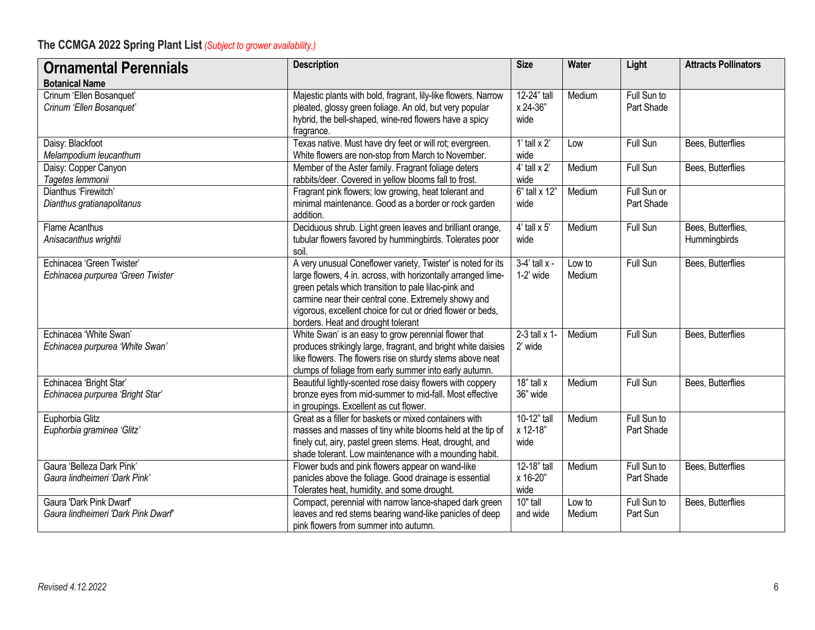| <b>Ornamental Perennials</b>                                   | <b>Description</b>                                                                                                                                                                                                                                                                                                                                 | <b>Size</b>                       | Water            | Light                     | <b>Attracts Pollinators</b>        |
|----------------------------------------------------------------|----------------------------------------------------------------------------------------------------------------------------------------------------------------------------------------------------------------------------------------------------------------------------------------------------------------------------------------------------|-----------------------------------|------------------|---------------------------|------------------------------------|
| <b>Botanical Name</b>                                          |                                                                                                                                                                                                                                                                                                                                                    |                                   |                  |                           |                                    |
| Crinum 'Ellen Bosanquet'<br>Crinum 'Ellen Bosanquet'           | Majestic plants with bold, fragrant, lily-like flowers. Narrow<br>pleated, glossy green foliage. An old, but very popular<br>hybrid, the bell-shaped, wine-red flowers have a spicy<br>fragrance.                                                                                                                                                  | 12-24" tall<br>x 24-36"<br>wide   | Medium           | Full Sun to<br>Part Shade |                                    |
| Daisy: Blackfoot<br>Melampodium leucanthum                     | Texas native. Must have dry feet or will rot; evergreen.<br>White flowers are non-stop from March to November.                                                                                                                                                                                                                                     | 1' tall $x$ 2'<br>wide            | Low              | Full Sun                  | Bees, Butterflies                  |
| Daisy: Copper Canyon<br>Tagetes lemmonii                       | Member of the Aster family. Fragrant foliage deters<br>rabbits/deer. Covered in yellow blooms fall to frost.                                                                                                                                                                                                                                       | $4'$ tall x 2'<br>wide            | Medium           | Full Sun                  | Bees, Butterflies                  |
| Dianthus 'Firewitch'<br>Dianthus gratianapolitanus             | Fragrant pink flowers; low growing, heat tolerant and<br>minimal maintenance. Good as a border or rock garden<br>addition.                                                                                                                                                                                                                         | 6" tall x 12"<br>wide             | Medium           | Full Sun or<br>Part Shade |                                    |
| <b>Flame Acanthus</b><br>Anisacanthus wrightii                 | Deciduous shrub. Light green leaves and brilliant orange,<br>tubular flowers favored by hummingbirds. Tolerates poor<br>soil.                                                                                                                                                                                                                      | $4'$ tall $\times$ 5'<br>wide     | Medium           | Full Sun                  | Bees, Butterflies,<br>Hummingbirds |
| Echinacea 'Green Twister'<br>Echinacea purpurea 'Green Twister | A very unusual Coneflower variety, Twister' is noted for its<br>large flowers, 4 in. across, with horizontally arranged lime-<br>green petals which transition to pale lilac-pink and<br>carmine near their central cone. Extremely showy and<br>vigorous, excellent choice for cut or dried flower or beds,<br>borders. Heat and drought tolerant | $3-4'$ tall $x -$<br>1-2' wide    | Low to<br>Medium | <b>Full Sun</b>           | Bees, Butterflies                  |
| Echinacea 'White Swan'<br>Echinacea purpurea 'White Swan'      | White Swan' is an easy to grow perennial flower that<br>produces strikingly large, fragrant, and bright white daisies<br>like flowers. The flowers rise on sturdy stems above neat<br>clumps of foliage from early summer into early autumn.                                                                                                       | $2-3$ tall $\times$ 1-<br>2' wide | Medium           | Full Sun                  | Bees, Butterflies                  |
| Echinacea 'Bright Star'<br>Echinacea purpurea 'Bright Star'    | Beautiful lightly-scented rose daisy flowers with coppery<br>bronze eyes from mid-summer to mid-fall. Most effective<br>in groupings. Excellent as cut flower.                                                                                                                                                                                     | $18"$ tall x<br>36" wide          | Medium           | Full Sun                  | Bees, Butterflies                  |
| Euphorbia Glitz<br>Euphorbia graminea 'Glitz'                  | Great as a filler for baskets or mixed containers with<br>masses and masses of tiny white blooms held at the tip of<br>finely cut, airy, pastel green stems. Heat, drought, and<br>shade tolerant. Low maintenance with a mounding habit.                                                                                                          | 10-12" tall<br>x 12-18"<br>wide   | Medium           | Full Sun to<br>Part Shade |                                    |
| Gaura 'Belleza Dark Pink'<br>Gaura lindheimeri 'Dark Pink'     | Flower buds and pink flowers appear on wand-like<br>panicles above the foliage. Good drainage is essential<br>Tolerates heat, humidity, and some drought.                                                                                                                                                                                          | 12-18" tall<br>x 16-20"<br>wide   | Medium           | Full Sun to<br>Part Shade | Bees, Butterflies                  |
| Gaura 'Dark Pink Dwarf'<br>Gaura lindheimeri 'Dark Pink Dwarf' | Compact, perennial with narrow lance-shaped dark green<br>leaves and red stems bearing wand-like panicles of deep<br>pink flowers from summer into autumn.                                                                                                                                                                                         | 10" tall<br>and wide              | Low to<br>Medium | Full Sun to<br>Part Sun   | Bees, Butterflies                  |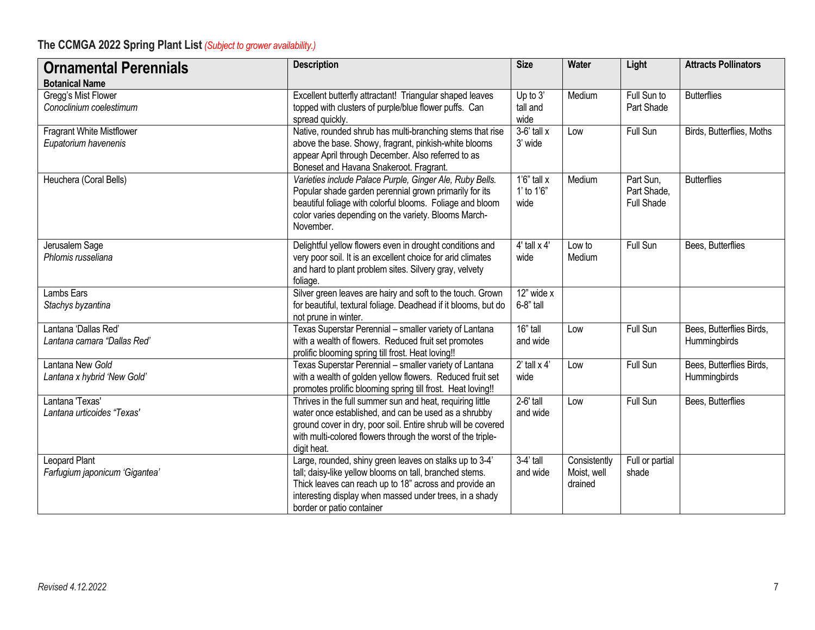| <b>Ornamental Perennials</b>                        | <b>Description</b>                                                                                                                                                                                                                                                   | <b>Size</b>                          | <b>Water</b>                           | Light                                         | <b>Attracts Pollinators</b>              |
|-----------------------------------------------------|----------------------------------------------------------------------------------------------------------------------------------------------------------------------------------------------------------------------------------------------------------------------|--------------------------------------|----------------------------------------|-----------------------------------------------|------------------------------------------|
| <b>Botanical Name</b>                               |                                                                                                                                                                                                                                                                      |                                      |                                        |                                               |                                          |
| Gregg's Mist Flower<br>Conoclinium coelestimum      | Excellent butterfly attractant! Triangular shaped leaves<br>topped with clusters of purple/blue flower puffs. Can<br>spread quickly.                                                                                                                                 | Up to 3'<br>tall and<br>wide         | Medium                                 | Full Sun to<br>Part Shade                     | <b>Butterflies</b>                       |
| Fragrant White Mistflower<br>Eupatorium havenenis   | Native, rounded shrub has multi-branching stems that rise<br>above the base. Showy, fragrant, pinkish-white blooms<br>appear April through December. Also referred to as<br>Boneset and Havana Snakeroot. Fragrant.                                                  | $3-6'$ tall x<br>3' wide             | Low                                    | Full Sun                                      | Birds, Butterflies, Moths                |
| Heuchera (Coral Bells)                              | Varieties include Palace Purple, Ginger Ale, Ruby Bells.<br>Popular shade garden perennial grown primarily for its<br>beautiful foliage with colorful blooms. Foliage and bloom<br>color varies depending on the variety. Blooms March-<br>November.                 | $1'6''$ tall x<br>1' to 1'6"<br>wide | Medium                                 | Part Sun,<br>Part Shade,<br><b>Full Shade</b> | <b>Butterflies</b>                       |
| Jerusalem Sage<br>Phlomis russeliana                | Delightful yellow flowers even in drought conditions and<br>very poor soil. It is an excellent choice for arid climates<br>and hard to plant problem sites. Silvery gray, velvety<br>foliage.                                                                        | $4'$ tall $\times$ $4'$<br>wide      | Low to<br>Medium                       | Full Sun                                      | Bees, Butterflies                        |
| Lambs Ears<br>Stachys byzantina                     | Silver green leaves are hairy and soft to the touch. Grown<br>for beautiful, textural foliage. Deadhead if it blooms, but do<br>not prune in winter.                                                                                                                 | 12" wide x<br>6-8" tall              |                                        |                                               |                                          |
| Lantana 'Dallas Red'<br>Lantana camara "Dallas Red" | Texas Superstar Perennial - smaller variety of Lantana<br>with a wealth of flowers. Reduced fruit set promotes<br>prolific blooming spring till frost. Heat loving!!                                                                                                 | 16" tall<br>and wide                 | Low                                    | Full Sun                                      | Bees, Butterflies Birds,<br>Hummingbirds |
| Lantana New Gold<br>Lantana x hybrid 'New Gold'     | Texas Superstar Perennial - smaller variety of Lantana<br>with a wealth of golden yellow flowers. Reduced fruit set<br>promotes prolific blooming spring till frost. Heat loving!!                                                                                   | $2'$ tall $\times$ 4'<br>wide        | Low                                    | Full Sun                                      | Bees, Butterflies Birds,<br>Hummingbirds |
| Lantana 'Texas'<br>Lantana urticoides "Texas'       | Thrives in the full summer sun and heat, requiring little<br>water once established, and can be used as a shrubby<br>ground cover in dry, poor soil. Entire shrub will be covered<br>with multi-colored flowers through the worst of the triple-<br>digit heat.      | $2-6'$ tall<br>and wide              | Low                                    | Full Sun                                      | Bees, Butterflies                        |
| Leopard Plant<br>Farfugium japonicum 'Gigantea'     | Large, rounded, shiny green leaves on stalks up to 3-4'<br>tall; daisy-like yellow blooms on tall, branched stems.<br>Thick leaves can reach up to 18" across and provide an<br>interesting display when massed under trees, in a shady<br>border or patio container | $3-4'$ tall<br>and wide              | Consistently<br>Moist, well<br>drained | Full or partial<br>shade                      |                                          |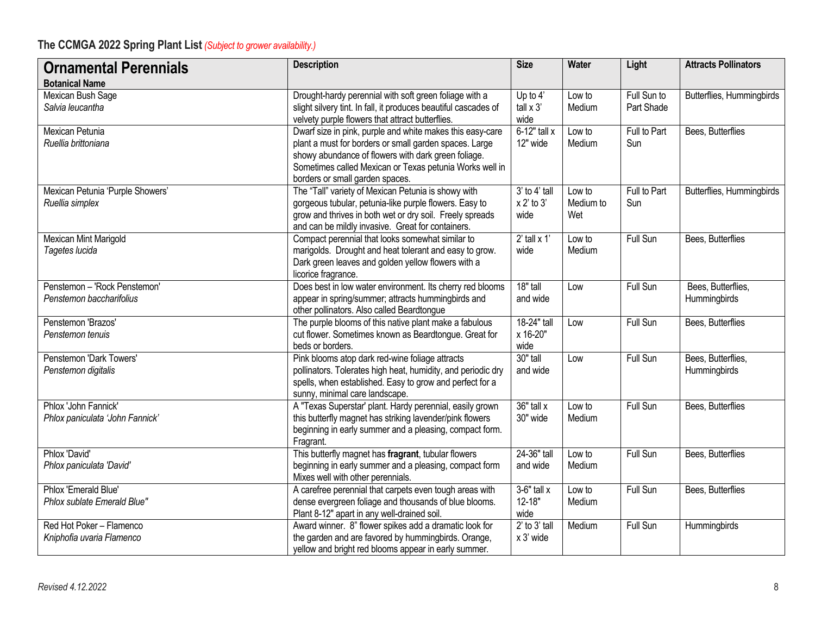| <b>Ornamental Perennials</b>                             | <b>Description</b>                                                                                                                                                                                                                                                       | <b>Size</b>                               | <b>Water</b>               | Light                     | <b>Attracts Pollinators</b>        |
|----------------------------------------------------------|--------------------------------------------------------------------------------------------------------------------------------------------------------------------------------------------------------------------------------------------------------------------------|-------------------------------------------|----------------------------|---------------------------|------------------------------------|
| <b>Botanical Name</b>                                    |                                                                                                                                                                                                                                                                          |                                           |                            |                           |                                    |
| Mexican Bush Sage<br>Salvia leucantha                    | Drought-hardy perennial with soft green foliage with a<br>slight silvery tint. In fall, it produces beautiful cascades of<br>velvety purple flowers that attract butterflies.                                                                                            | Up to 4'<br>tall $x$ 3'<br>wide           | Low to<br>Medium           | Full Sun to<br>Part Shade | Butterflies, Hummingbirds          |
| Mexican Petunia<br>Ruellia brittoniana                   | Dwarf size in pink, purple and white makes this easy-care<br>plant a must for borders or small garden spaces. Large<br>showy abundance of flowers with dark green foliage.<br>Sometimes called Mexican or Texas petunia Works well in<br>borders or small garden spaces. | $6-12"$ tall x<br>12" wide                | Low to<br>Medium           | Full to Part<br>Sun       | Bees, Butterflies                  |
| Mexican Petunia 'Purple Showers'<br>Ruellia simplex      | The "Tall" variety of Mexican Petunia is showy with<br>gorgeous tubular, petunia-like purple flowers. Easy to<br>grow and thrives in both wet or dry soil. Freely spreads<br>and can be mildly invasive. Great for containers.                                           | $3'$ to $4'$ tall<br>$x 2'$ to 3'<br>wide | Low to<br>Medium to<br>Wet | Full to Part<br>Sun       | Butterflies, Hummingbirds          |
| Mexican Mint Marigold<br>Tagetes lucida                  | Compact perennial that looks somewhat similar to<br>marigolds. Drought and heat tolerant and easy to grow.<br>Dark green leaves and golden yellow flowers with a<br>licorice fragrance.                                                                                  | $2'$ tall x 1'<br>wide                    | Low to<br>Medium           | Full Sun                  | Bees, Butterflies                  |
| Penstemon - 'Rock Penstemon'<br>Penstemon baccharifolius | Does best in low water environment. Its cherry red blooms<br>appear in spring/summer; attracts hummingbirds and<br>other pollinators. Also called Beardtongue                                                                                                            | 18" tall<br>and wide                      | Low                        | Full Sun                  | Bees, Butterflies,<br>Hummingbirds |
| Penstemon 'Brazos'<br>Penstemon tenuis                   | The purple blooms of this native plant make a fabulous<br>cut flower. Sometimes known as Beardtongue. Great for<br>beds or borders.                                                                                                                                      | 18-24" tall<br>x 16-20"<br>wide           | Low                        | Full Sun                  | Bees, Butterflies                  |
| Penstemon 'Dark Towers'<br>Penstemon digitalis           | Pink blooms atop dark red-wine foliage attracts<br>pollinators. Tolerates high heat, humidity, and periodic dry<br>spells, when established. Easy to grow and perfect for a<br>sunny, minimal care landscape.                                                            | 30" tall<br>and wide                      | Low                        | Full Sun                  | Bees, Butterflies,<br>Hummingbirds |
| Phlox 'John Fannick'<br>Phlox paniculata 'John Fannick'  | A "Texas Superstar' plant. Hardy perennial, easily grown<br>this butterfly magnet has striking lavender/pink flowers<br>beginning in early summer and a pleasing, compact form.<br>Fragrant.                                                                             | 36" tall x<br>30" wide                    | Low to<br>Medium           | Full Sun                  | Bees, Butterflies                  |
| Phlox 'David'<br>Phlox paniculata 'David'                | This butterfly magnet has fragrant, tubular flowers<br>beginning in early summer and a pleasing, compact form<br>Mixes well with other perennials.                                                                                                                       | 24-36" tall<br>and wide                   | Low to<br>Medium           | Full Sun                  | Bees, Butterflies                  |
| Phlox 'Emerald Blue'<br>Phlox sublate Emerald Blue"      | A carefree perennial that carpets even tough areas with<br>dense evergreen foliage and thousands of blue blooms.<br>Plant 8-12" apart in any well-drained soil                                                                                                           | $3-6"$ tall $x$<br>12-18"<br>wide         | Low to<br>Medium           | Full Sun                  | Bees, Butterflies                  |
| Red Hot Poker - Flamenco<br>Kniphofia uvaria Flamenco    | Award winner. 8" flower spikes add a dramatic look for<br>the garden and are favored by hummingbirds. Orange,<br>yellow and bright red blooms appear in early summer.                                                                                                    | $2'$ to $3'$ tall<br>x 3' wide            | Medium                     | Full Sun                  | Hummingbirds                       |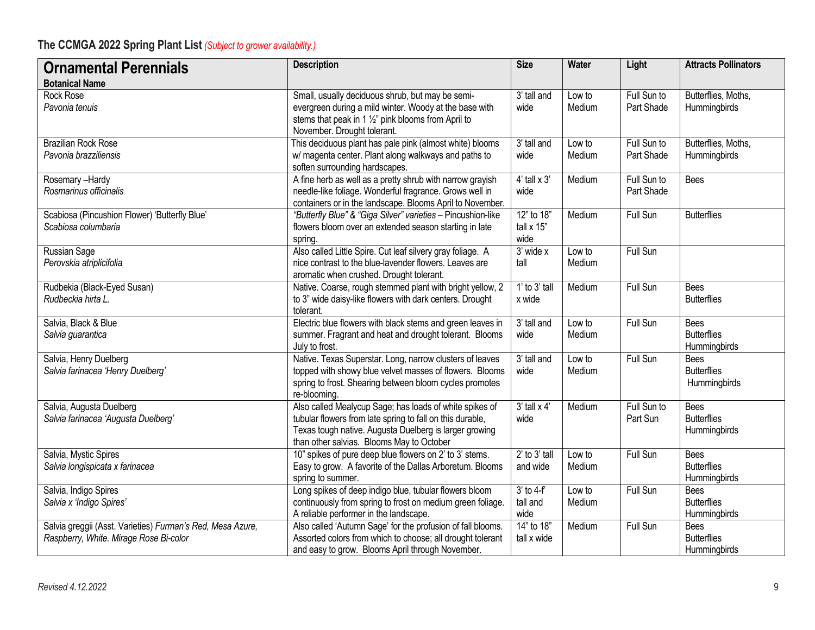| <b>Ornamental Perennials</b><br><b>Botanical Name</b>                                                | <b>Description</b>                                                                                                                                                                                                          | <b>Size</b>                        | Water            | Light                     | <b>Attracts Pollinators</b>                       |
|------------------------------------------------------------------------------------------------------|-----------------------------------------------------------------------------------------------------------------------------------------------------------------------------------------------------------------------------|------------------------------------|------------------|---------------------------|---------------------------------------------------|
| Rock Rose<br>Pavonia tenuis                                                                          | Small, usually deciduous shrub, but may be semi-<br>evergreen during a mild winter. Woody at the base with<br>stems that peak in 1 1/2" pink blooms from April to<br>November. Drought tolerant.                            | 3' tall and<br>wide                | Low to<br>Medium | Full Sun to<br>Part Shade | Butterflies, Moths,<br>Hummingbirds               |
| <b>Brazilian Rock Rose</b><br>Pavonia brazziliensis                                                  | This deciduous plant has pale pink (almost white) blooms<br>w/ magenta center. Plant along walkways and paths to<br>soften surrounding hardscapes.                                                                          | $\overline{3}$ ' tall and<br>wide  | Low to<br>Medium | Full Sun to<br>Part Shade | Butterflies, Moths,<br>Hummingbirds               |
| Rosemary-Hardy<br>Rosmarinus officinalis                                                             | A fine herb as well as a pretty shrub with narrow grayish<br>needle-like foliage. Wonderful fragrance. Grows well in<br>containers or in the landscape. Blooms April to November.                                           | $4'$ tall $\times 3'$<br>wide      | Medium           | Full Sun to<br>Part Shade | <b>Bees</b>                                       |
| Scabiosa (Pincushion Flower) 'Butterfly Blue'<br>Scabiosa columbaria                                 | "Butterfly Blue" & "Giga Silver" varieties - Pincushion-like<br>flowers bloom over an extended season starting in late<br>spring.                                                                                           | 12" to 18"<br>tall x 15"<br>wide   | Medium           | Full Sun                  | <b>Butterflies</b>                                |
| Russian Sage<br>Perovskia atriplicifolia                                                             | Also called Little Spire. Cut leaf silvery gray foliage. A<br>nice contrast to the blue-lavender flowers. Leaves are<br>aromatic when crushed. Drought tolerant.                                                            | 3' wide x<br>tall                  | Low to<br>Medium | Full Sun                  |                                                   |
| Rudbekia (Black-Eyed Susan)<br>Rudbeckia hirta L.                                                    | Native. Coarse, rough stemmed plant with bright yellow, 2<br>to 3" wide daisy-like flowers with dark centers. Drought<br>tolerant.                                                                                          | $1'$ to $3'$ tall<br>x wide        | Medium           | Full Sun                  | <b>Bees</b><br><b>Butterflies</b>                 |
| Salvia, Black & Blue<br>Salvia guarantica                                                            | Electric blue flowers with black stems and green leaves in<br>summer. Fragrant and heat and drought tolerant. Blooms<br>July to frost.                                                                                      | 3' tall and<br>wide                | Low to<br>Medium | Full Sun                  | <b>Bees</b><br><b>Butterflies</b><br>Hummingbirds |
| Salvia, Henry Duelberg<br>Salvia farinacea 'Henry Duelberg'                                          | Native. Texas Superstar. Long, narrow clusters of leaves<br>topped with showy blue velvet masses of flowers. Blooms<br>spring to frost. Shearing between bloom cycles promotes<br>re-blooming.                              | 3' tall and<br>wide                | Low to<br>Medium | Full Sun                  | <b>Bees</b><br><b>Butterflies</b><br>Hummingbirds |
| Salvia, Augusta Duelberg<br>Salvia farinacea 'Augusta Duelberg'                                      | Also called Mealycup Sage; has loads of white spikes of<br>tubular flowers from late spring to fall on this durable,<br>Texas tough native. Augusta Duelberg is larger growing<br>than other salvias. Blooms May to October | $3'$ tall $\times$ $4'$<br>wide    | Medium           | Full Sun to<br>Part Sun   | <b>Bees</b><br><b>Butterflies</b><br>Hummingbirds |
| Salvia, Mystic Spires<br>Salvia longispicata x farinacea                                             | 10" spikes of pure deep blue flowers on 2' to 3' stems.<br>Easy to grow. A favorite of the Dallas Arboretum. Blooms<br>spring to summer.                                                                                    | $2'$ to $3'$ tall<br>and wide      | Low to<br>Medium | Full Sun                  | <b>Bees</b><br><b>Butterflies</b><br>Hummingbirds |
| Salvia, Indigo Spires<br>Salvia x 'Indigo Spires'                                                    | Long spikes of deep indigo blue, tubular flowers bloom<br>continuously from spring to frost on medium green foliage.<br>A reliable performer in the landscape.                                                              | $3'$ to 4- $f$<br>tall and<br>wide | Low to<br>Medium | <b>Full Sun</b>           | <b>Bees</b><br><b>Butterflies</b><br>Hummingbirds |
| Salvia greggii (Asst. Varieties) Furman's Red, Mesa Azure,<br>Raspberry, White. Mirage Rose Bi-color | Also called 'Autumn Sage' for the profusion of fall blooms.<br>Assorted colors from which to choose; all drought tolerant<br>and easy to grow. Blooms April through November.                                               | 14" to 18"<br>tall x wide          | Medium           | Full Sun                  | Bees<br><b>Butterflies</b><br>Hummingbirds        |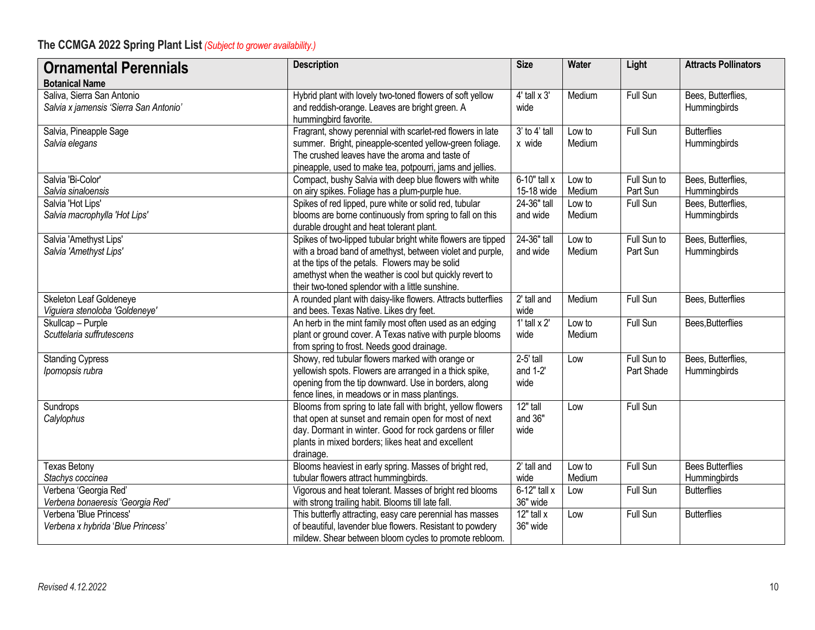| <b>Ornamental Perennials</b>                     | <b>Description</b>                                                                                                        | <b>Size</b>           | <b>Water</b> | Light           | <b>Attracts Pollinators</b>        |
|--------------------------------------------------|---------------------------------------------------------------------------------------------------------------------------|-----------------------|--------------|-----------------|------------------------------------|
| <b>Botanical Name</b>                            |                                                                                                                           |                       |              |                 |                                    |
| Saliva, Sierra San Antonio                       | Hybrid plant with lovely two-toned flowers of soft yellow                                                                 | $4'$ tall $\times 3'$ | Medium       | Full Sun        | Bees, Butterflies,                 |
| Salvia x jamensis 'Sierra San Antonio'           | and reddish-orange. Leaves are bright green. A                                                                            | wide                  |              |                 | Hummingbirds                       |
|                                                  | hummingbird favorite.                                                                                                     |                       |              |                 |                                    |
| Salvia, Pineapple Sage                           | Fragrant, showy perennial with scarlet-red flowers in late                                                                | $3'$ to $4'$ tall     | Low to       | Full Sun        | <b>Butterflies</b>                 |
| Salvia elegans                                   | summer. Bright, pineapple-scented yellow-green foliage.                                                                   | x wide                | Medium       |                 | Hummingbirds                       |
|                                                  | The crushed leaves have the aroma and taste of                                                                            |                       |              |                 |                                    |
|                                                  | pineapple, used to make tea, potpourri, jams and jellies.                                                                 |                       |              |                 |                                    |
| Salvia 'Bi-Color'                                | Compact, bushy Salvia with deep blue flowers with white                                                                   | $6-10"$ tall x        | Low to       | Full Sun to     | Bees, Butterflies,                 |
| Salvia sinaloensis                               | on airy spikes. Foliage has a plum-purple hue.                                                                            | 15-18 wide            | Medium       | Part Sun        | Hummingbirds                       |
| Salvia 'Hot Lips'                                | Spikes of red lipped, pure white or solid red, tubular                                                                    | 24-36" tall           | Low to       | Full Sun        | Bees, Butterflies,                 |
| Salvia macrophylla 'Hot Lips'                    | blooms are borne continuously from spring to fall on this                                                                 | and wide              | Medium       |                 | Hummingbirds                       |
|                                                  | durable drought and heat tolerant plant.                                                                                  | 24-36" tall           | Low to       | Full Sun to     |                                    |
| Salvia 'Amethyst Lips'<br>Salvia 'Amethyst Lips' | Spikes of two-lipped tubular bright white flowers are tipped<br>with a broad band of amethyst, between violet and purple, | and wide              | Medium       | Part Sun        | Bees, Butterflies,<br>Hummingbirds |
|                                                  | at the tips of the petals. Flowers may be solid                                                                           |                       |              |                 |                                    |
|                                                  | amethyst when the weather is cool but quickly revert to                                                                   |                       |              |                 |                                    |
|                                                  | their two-toned splendor with a little sunshine.                                                                          |                       |              |                 |                                    |
| Skeleton Leaf Goldeneye                          | A rounded plant with daisy-like flowers. Attracts butterflies                                                             | $2'$ tall and         | Medium       | Full Sun        | Bees, Butterflies                  |
| Viguiera stenoloba 'Goldeneye'                   | and bees. Texas Native. Likes dry feet.                                                                                   | wide                  |              |                 |                                    |
| Skullcap - Purple                                | An herb in the mint family most often used as an edging                                                                   | 1' tall $x$ 2'        | Low to       | Full Sun        | Bees, Butterflies                  |
| Scuttelaria suffrutescens                        | plant or ground cover. A Texas native with purple blooms                                                                  | wide                  | Medium       |                 |                                    |
|                                                  | from spring to frost. Needs good drainage.                                                                                |                       |              |                 |                                    |
| <b>Standing Cypress</b>                          | Showy, red tubular flowers marked with orange or                                                                          | 2-5' tall             | Low          | Full Sun to     | Bees, Butterflies,                 |
| Ipomopsis rubra                                  | yellowish spots. Flowers are arranged in a thick spike,                                                                   | and $1-2$             |              | Part Shade      | Hummingbirds                       |
|                                                  | opening from the tip downward. Use in borders, along                                                                      | wide                  |              |                 |                                    |
|                                                  | fence lines, in meadows or in mass plantings.                                                                             |                       |              |                 |                                    |
| Sundrops                                         | Blooms from spring to late fall with bright, yellow flowers                                                               | $12"$ tall            | Low          | <b>Full Sun</b> |                                    |
| Calylophus                                       | that open at sunset and remain open for most of next                                                                      | and 36"               |              |                 |                                    |
|                                                  | day. Dormant in winter. Good for rock gardens or filler                                                                   | wide                  |              |                 |                                    |
|                                                  | plants in mixed borders; likes heat and excellent                                                                         |                       |              |                 |                                    |
|                                                  | drainage.                                                                                                                 | 2' tall and           | Low to       | <b>Full Sun</b> | <b>Bees Butterflies</b>            |
| <b>Texas Betony</b><br>Stachys coccinea          | Blooms heaviest in early spring. Masses of bright red,<br>tubular flowers attract hummingbirds.                           | wide                  | Medium       |                 | Hummingbirds                       |
| Verbena 'Georgia Red'                            | Vigorous and heat tolerant. Masses of bright red blooms                                                                   | $6-12"$ tall x        | Low          | <b>Full Sun</b> | <b>Butterflies</b>                 |
| Verbena bonaeresis 'Georgia Red'                 | with strong trailing habit. Blooms till late fall.                                                                        | 36" wide              |              |                 |                                    |
| Verbena 'Blue Princess'                          | This butterfly attracting, easy care perennial has masses                                                                 | $12"$ tall x          | Low          | Full Sun        | <b>Butterflies</b>                 |
| Verbena x hybrida 'Blue Princess'                | of beautiful, lavender blue flowers. Resistant to powdery                                                                 | 36" wide              |              |                 |                                    |
|                                                  | mildew. Shear between bloom cycles to promote rebloom.                                                                    |                       |              |                 |                                    |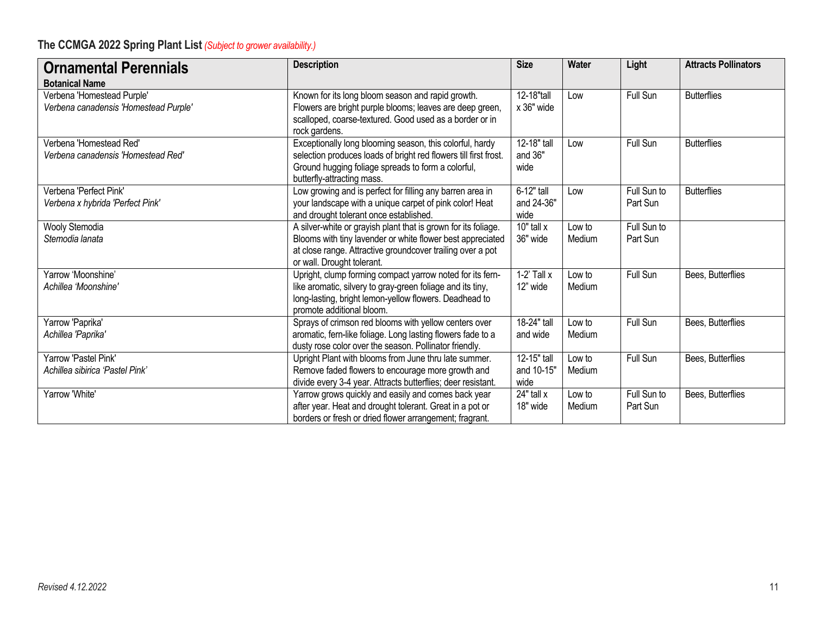| <b>Ornamental Perennials</b>                                        | <b>Description</b>                                                                                                                                                                                                       | <b>Size</b>                       | <b>Water</b>     | Light                   | <b>Attracts Pollinators</b> |
|---------------------------------------------------------------------|--------------------------------------------------------------------------------------------------------------------------------------------------------------------------------------------------------------------------|-----------------------------------|------------------|-------------------------|-----------------------------|
| <b>Botanical Name</b>                                               |                                                                                                                                                                                                                          |                                   |                  |                         |                             |
| Verbena 'Homestead Purple'<br>Verbena canadensis 'Homestead Purple' | Known for its long bloom season and rapid growth.<br>Flowers are bright purple blooms; leaves are deep green,<br>scalloped, coarse-textured. Good used as a border or in<br>rock gardens.                                | 12-18"tall<br>x 36" wide          | Low              | Full Sun                | <b>Butterflies</b>          |
| Verbena 'Homestead Red'<br>Verbena canadensis 'Homestead Red'       | Exceptionally long blooming season, this colorful, hardy<br>selection produces loads of bright red flowers till first frost.<br>Ground hugging foliage spreads to form a colorful,<br>butterfly-attracting mass.         | 12-18" tall<br>and 36"<br>wide    | Low              | Full Sun                | <b>Butterflies</b>          |
| Verbena 'Perfect Pink'<br>Verbena x hybrida 'Perfect Pink'          | Low growing and is perfect for filling any barren area in<br>your landscape with a unique carpet of pink color! Heat<br>and drought tolerant once established.                                                           | 6-12" tall<br>and 24-36"<br>wide  | Low              | Full Sun to<br>Part Sun | <b>Butterflies</b>          |
| Wooly Stemodia<br>Stemodia lanata                                   | A silver-white or grayish plant that is grown for its foliage.<br>Blooms with tiny lavender or white flower best appreciated<br>at close range. Attractive groundcover trailing over a pot<br>or wall. Drought tolerant. | $10"$ tall $x$<br>36" wide        | Low to<br>Medium | Full Sun to<br>Part Sun |                             |
| Yarrow 'Moonshine'<br>Achillea 'Moonshine'                          | Upright, clump forming compact yarrow noted for its fern-<br>like aromatic, silvery to gray-green foliage and its tiny,<br>long-lasting, bright lemon-yellow flowers. Deadhead to<br>promote additional bloom.           | $1-2'$ Tall $x$<br>12" wide       | Low to<br>Medium | Full Sun                | Bees, Butterflies           |
| Yarrow 'Paprika'<br>Achillea 'Paprika'                              | Sprays of crimson red blooms with yellow centers over<br>aromatic, fern-like foliage. Long lasting flowers fade to a<br>dusty rose color over the season. Pollinator friendly.                                           | 18-24" tall<br>and wide           | Low to<br>Medium | Full Sun                | Bees, Butterflies           |
| Yarrow 'Pastel Pink'<br>Achillea sibirica 'Pastel Pink'             | Upright Plant with blooms from June thru late summer.<br>Remove faded flowers to encourage more growth and<br>divide every 3-4 year. Attracts butterflies; deer resistant.                                               | 12-15" tall<br>and 10-15"<br>wide | Low to<br>Medium | Full Sun                | Bees, Butterflies           |
| Yarrow 'White'                                                      | Yarrow grows quickly and easily and comes back year<br>after year. Heat and drought tolerant. Great in a pot or<br>borders or fresh or dried flower arrangement; fragrant.                                               | 24" tall x<br>18" wide            | Low to<br>Medium | Full Sun to<br>Part Sun | Bees, Butterflies           |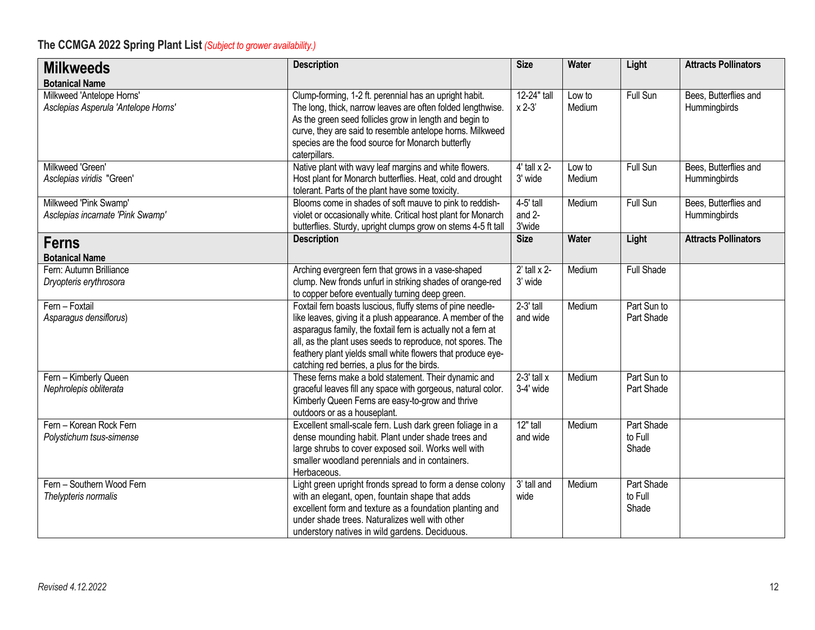| <b>Milkweeds</b>                                                 | <b>Description</b>                                                                                                                                                                                                                                                                                                                                                   | <b>Size</b>                      | Water            | Light                          | <b>Attracts Pollinators</b>           |
|------------------------------------------------------------------|----------------------------------------------------------------------------------------------------------------------------------------------------------------------------------------------------------------------------------------------------------------------------------------------------------------------------------------------------------------------|----------------------------------|------------------|--------------------------------|---------------------------------------|
| <b>Botanical Name</b>                                            |                                                                                                                                                                                                                                                                                                                                                                      |                                  |                  |                                |                                       |
| Milkweed 'Antelope Horns'<br>Asclepias Asperula 'Antelope Horns' | Clump-forming, 1-2 ft. perennial has an upright habit.<br>The long, thick, narrow leaves are often folded lengthwise.<br>As the green seed follicles grow in length and begin to<br>curve, they are said to resemble antelope horns. Milkweed<br>species are the food source for Monarch butterfly<br>caterpillars.                                                  | 12-24" tall<br>$x 2-3$           | Low to<br>Medium | Full Sun                       | Bees, Butterflies and<br>Hummingbirds |
| Milkweed 'Green'<br>Asclepias viridis "Green'                    | Native plant with wavy leaf margins and white flowers.<br>Host plant for Monarch butterflies. Heat, cold and drought<br>tolerant. Parts of the plant have some toxicity.                                                                                                                                                                                             | $4'$ tall $\times$ 2-<br>3' wide | Low to<br>Medium | Full Sun                       | Bees, Butterflies and<br>Hummingbirds |
| Milkweed 'Pink Swamp'<br>Asclepias incarnate 'Pink Swamp'        | Blooms come in shades of soft mauve to pink to reddish-<br>violet or occasionally white. Critical host plant for Monarch<br>butterflies. Sturdy, upright clumps grow on stems 4-5 ft tall                                                                                                                                                                            | $4-5'$ tall<br>and 2-<br>3'wide  | Medium           | Full Sun                       | Bees, Butterflies and<br>Hummingbirds |
| <b>Ferns</b>                                                     | <b>Description</b>                                                                                                                                                                                                                                                                                                                                                   | <b>Size</b>                      | Water            | Light                          | <b>Attracts Pollinators</b>           |
| <b>Botanical Name</b>                                            |                                                                                                                                                                                                                                                                                                                                                                      |                                  |                  |                                |                                       |
| Fern: Autumn Brilliance<br>Dryopteris erythrosora                | Arching evergreen fern that grows in a vase-shaped<br>clump. New fronds unfurl in striking shades of orange-red<br>to copper before eventually turning deep green.                                                                                                                                                                                                   | $2'$ tall x 2-<br>3' wide        | Medium           | <b>Full Shade</b>              |                                       |
| Fern - Foxtail<br>Asparagus densiflorus)                         | Foxtail fern boasts luscious, fluffy stems of pine needle-<br>like leaves, giving it a plush appearance. A member of the<br>asparagus family, the foxtail fern is actually not a fern at<br>all, as the plant uses seeds to reproduce, not spores. The<br>feathery plant yields small white flowers that produce eye-<br>catching red berries, a plus for the birds. | $2-3'$ tall<br>and wide          | Medium           | Part Sun to<br>Part Shade      |                                       |
| Fern - Kimberly Queen<br>Nephrolepis obliterata                  | These ferns make a bold statement. Their dynamic and<br>graceful leaves fill any space with gorgeous, natural color.<br>Kimberly Queen Ferns are easy-to-grow and thrive<br>outdoors or as a houseplant.                                                                                                                                                             | $2-3'$ tall x<br>3-4' wide       | Medium           | Part Sun to<br>Part Shade      |                                       |
| Fern - Korean Rock Fern<br>Polystichum tsus-simense              | Excellent small-scale fern. Lush dark green foliage in a<br>dense mounding habit. Plant under shade trees and<br>large shrubs to cover exposed soil. Works well with<br>smaller woodland perennials and in containers.<br>Herbaceous.                                                                                                                                | 12" tall<br>and wide             | Medium           | Part Shade<br>to Full<br>Shade |                                       |
| Fern - Southern Wood Fern<br>Thelypteris normalis                | Light green upright fronds spread to form a dense colony<br>with an elegant, open, fountain shape that adds<br>excellent form and texture as a foundation planting and<br>under shade trees. Naturalizes well with other<br>understory natives in wild gardens. Deciduous.                                                                                           | $\overline{3'}$ tall and<br>wide | Medium           | Part Shade<br>to Full<br>Shade |                                       |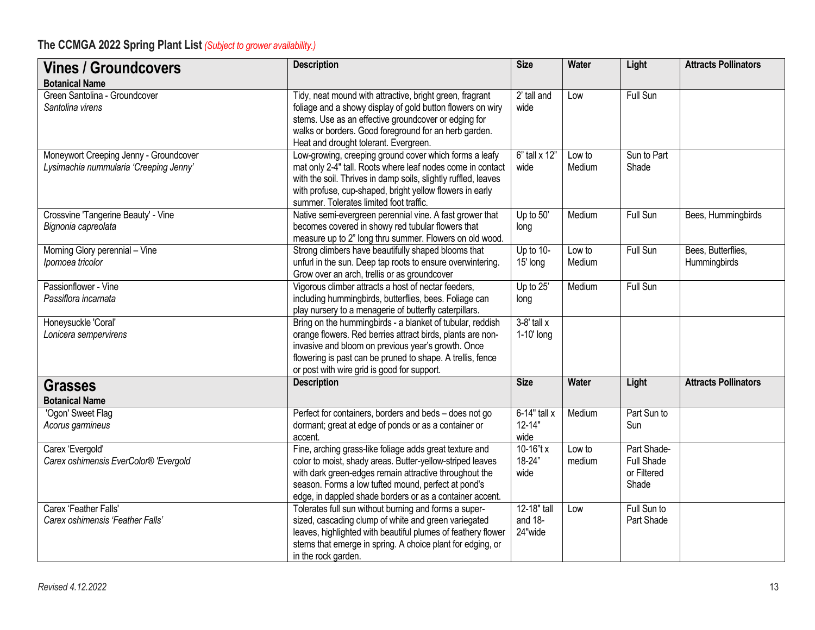| <b>Vines / Groundcovers</b>                                                      | <b>Description</b>                                                                                                                                                                                                                                                                                | <b>Size</b>                          | <b>Water</b>     | Light                                                    | <b>Attracts Pollinators</b>        |
|----------------------------------------------------------------------------------|---------------------------------------------------------------------------------------------------------------------------------------------------------------------------------------------------------------------------------------------------------------------------------------------------|--------------------------------------|------------------|----------------------------------------------------------|------------------------------------|
| <b>Botanical Name</b>                                                            |                                                                                                                                                                                                                                                                                                   |                                      |                  |                                                          |                                    |
| Green Santolina - Groundcover<br>Santolina virens                                | Tidy, neat mound with attractive, bright green, fragrant<br>foliage and a showy display of gold button flowers on wiry<br>stems. Use as an effective groundcover or edging for<br>walks or borders. Good foreground for an herb garden.<br>Heat and drought tolerant. Evergreen.                  | 2' tall and<br>wide                  | Low              | <b>Full Sun</b>                                          |                                    |
| Moneywort Creeping Jenny - Groundcover<br>Lysimachia nummularia 'Creeping Jenny' | Low-growing, creeping ground cover which forms a leafy<br>mat only 2-4" tall. Roots where leaf nodes come in contact<br>with the soil. Thrives in damp soils, slightly ruffled, leaves<br>with profuse, cup-shaped, bright yellow flowers in early<br>summer. Tolerates limited foot traffic.     | 6" tall x 12"<br>wide                | Low to<br>Medium | Sun to Part<br>Shade                                     |                                    |
| Crossvine 'Tangerine Beauty' - Vine<br>Bignonia capreolata                       | Native semi-evergreen perennial vine. A fast grower that<br>becomes covered in showy red tubular flowers that<br>measure up to 2" long thru summer. Flowers on old wood.                                                                                                                          | Up to $50'$<br>long                  | Medium           | <b>Full Sun</b>                                          | Bees, Hummingbirds                 |
| Morning Glory perennial - Vine<br>Ipomoea tricolor                               | Strong climbers have beautifully shaped blooms that<br>unfurl in the sun. Deep tap roots to ensure overwintering.<br>Grow over an arch, trellis or as groundcover                                                                                                                                 | Up to 10-<br>15' long                | Low to<br>Medium | Full Sun                                                 | Bees, Butterflies,<br>Hummingbirds |
| Passionflower - Vine<br>Passiflora incarnata                                     | Vigorous climber attracts a host of nectar feeders,<br>including hummingbirds, butterflies, bees. Foliage can<br>play nursery to a menagerie of butterfly caterpillars.                                                                                                                           | Up to 25'<br>long                    | Medium           | <b>Full Sun</b>                                          |                                    |
| Honeysuckle 'Coral'<br>Lonicera sempervirens                                     | Bring on the hummingbirds - a blanket of tubular, reddish<br>orange flowers. Red berries attract birds, plants are non-<br>invasive and bloom on previous year's growth. Once<br>flowering is past can be pruned to shape. A trellis, fence<br>or post with wire grid is good for support.        | $3-8'$ tall $x$<br>1-10' long        |                  |                                                          |                                    |
| <b>Grasses</b><br><b>Botanical Name</b>                                          | <b>Description</b>                                                                                                                                                                                                                                                                                | <b>Size</b>                          | Water            | Light                                                    | <b>Attracts Pollinators</b>        |
| 'Ogon' Sweet Flag<br>Acorus garmineus                                            | Perfect for containers, borders and beds - does not go<br>dormant; great at edge of ponds or as a container or<br>accent.                                                                                                                                                                         | $6-14"$ tall x<br>$12 - 14"$<br>wide | Medium           | Part Sun to<br>Sun                                       |                                    |
| Carex 'Evergold'<br>Carex oshimensis EverColor® 'Evergold                        | Fine, arching grass-like foliage adds great texture and<br>color to moist, shady areas. Butter-yellow-striped leaves<br>with dark green-edges remain attractive throughout the<br>season. Forms a low tufted mound, perfect at pond's<br>edge, in dappled shade borders or as a container accent. | 10-16"t x<br>18-24"<br>wide          | Low to<br>medium | Part Shade-<br><b>Full Shade</b><br>or Filtered<br>Shade |                                    |
| Carex 'Feather Falls'<br>Carex oshimensis 'Feather Falls'                        | Tolerates full sun without burning and forms a super-<br>sized, cascading clump of white and green variegated<br>leaves, highlighted with beautiful plumes of feathery flower<br>stems that emerge in spring. A choice plant for edging, or<br>in the rock garden.                                | 12-18" tall<br>and $18-$<br>24"wide  | Low              | Full Sun to<br>Part Shade                                |                                    |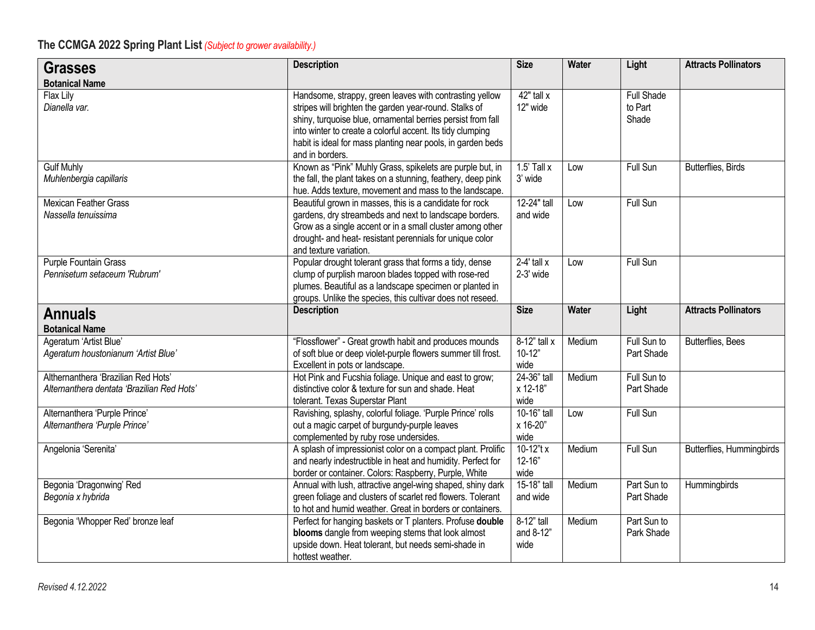| <b>Grasses</b>                                                                         | <b>Description</b>                                                                                                                                                                                                                                                                                                               | <b>Size</b>                        | Water        | Light                                 | <b>Attracts Pollinators</b> |
|----------------------------------------------------------------------------------------|----------------------------------------------------------------------------------------------------------------------------------------------------------------------------------------------------------------------------------------------------------------------------------------------------------------------------------|------------------------------------|--------------|---------------------------------------|-----------------------------|
| <b>Botanical Name</b>                                                                  |                                                                                                                                                                                                                                                                                                                                  |                                    |              |                                       |                             |
| Flax Lily<br>Dianella var.                                                             | Handsome, strappy, green leaves with contrasting yellow<br>stripes will brighten the garden year-round. Stalks of<br>shiny, turquoise blue, ornamental berries persist from fall<br>into winter to create a colorful accent. Its tidy clumping<br>habit is ideal for mass planting near pools, in garden beds<br>and in borders. | $42"$ tall x<br>12" wide           |              | <b>Full Shade</b><br>to Part<br>Shade |                             |
| <b>Gulf Muhly</b><br>Muhlenbergia capillaris                                           | Known as "Pink" Muhly Grass, spikelets are purple but, in<br>the fall, the plant takes on a stunning, feathery, deep pink<br>hue. Adds texture, movement and mass to the landscape.                                                                                                                                              | $1.5'$ Tall x<br>3' wide           | Low          | Full Sun                              | Butterflies, Birds          |
| <b>Mexican Feather Grass</b><br>Nassella tenuissima                                    | Beautiful grown in masses, this is a candidate for rock<br>gardens, dry streambeds and next to landscape borders.<br>Grow as a single accent or in a small cluster among other<br>drought- and heat- resistant perennials for unique color<br>and texture variation.                                                             | 12-24" tall<br>and wide            | Low          | Full Sun                              |                             |
| Purple Fountain Grass<br>Pennisetum setaceum 'Rubrum'                                  | Popular drought tolerant grass that forms a tidy, dense<br>clump of purplish maroon blades topped with rose-red<br>plumes. Beautiful as a landscape specimen or planted in<br>groups. Unlike the species, this cultivar does not reseed.                                                                                         | $2-4'$ tall $x$<br>2-3' wide       | Low          | Full Sun                              |                             |
| <b>Annuals</b>                                                                         | <b>Description</b>                                                                                                                                                                                                                                                                                                               | <b>Size</b>                        | <b>Water</b> | Light                                 | <b>Attracts Pollinators</b> |
| <b>Botanical Name</b><br>Ageratum 'Artist Blue'<br>Ageratum houstonianum 'Artist Blue' | "Flossflower" - Great growth habit and produces mounds<br>of soft blue or deep violet-purple flowers summer till frost.<br>Excellent in pots or landscape.                                                                                                                                                                       | $8-12"$ tall x<br>$10-12"$<br>wide | Medium       | Full Sun to<br>Part Shade             | Butterflies, Bees           |
| Althernanthera 'Brazilian Red Hots'<br>Alternanthera dentata 'Brazilian Red Hots'      | Hot Pink and Fucshia foliage. Unique and east to grow;<br>distinctive color & texture for sun and shade. Heat<br>tolerant. Texas Superstar Plant                                                                                                                                                                                 | 24-36" tall<br>x 12-18"<br>wide    | Medium       | Full Sun to<br>Part Shade             |                             |
| Alternanthera 'Purple Prince'<br>Alternanthera 'Purple Prince'                         | Ravishing, splashy, colorful foliage. 'Purple Prince' rolls<br>out a magic carpet of burgundy-purple leaves<br>complemented by ruby rose undersides.                                                                                                                                                                             | 10-16" tall<br>x 16-20"<br>wide    | Low          | <b>Full Sun</b>                       |                             |
| Angelonia 'Serenita'                                                                   | A splash of impressionist color on a compact plant. Prolific<br>and nearly indestructible in heat and humidity. Perfect for<br>border or container. Colors: Raspberry, Purple, White                                                                                                                                             | 10-12"t x<br>$12 - 16"$<br>wide    | Medium       | Full Sun                              | Butterflies, Hummingbirds   |
| Begonia 'Dragonwing' Red<br>Begonia x hybrida                                          | Annual with lush, attractive angel-wing shaped, shiny dark<br>green foliage and clusters of scarlet red flowers. Tolerant<br>to hot and humid weather. Great in borders or containers.                                                                                                                                           | 15-18" tall<br>and wide            | Medium       | Part Sun to<br>Part Shade             | Hummingbirds                |
| Begonia 'Whopper Red' bronze leaf                                                      | Perfect for hanging baskets or T planters. Profuse double<br>blooms dangle from weeping stems that look almost<br>upside down. Heat tolerant, but needs semi-shade in<br>hottest weather.                                                                                                                                        | $8-12"$ tall<br>and 8-12"<br>wide  | Medium       | Part Sun to<br>Park Shade             |                             |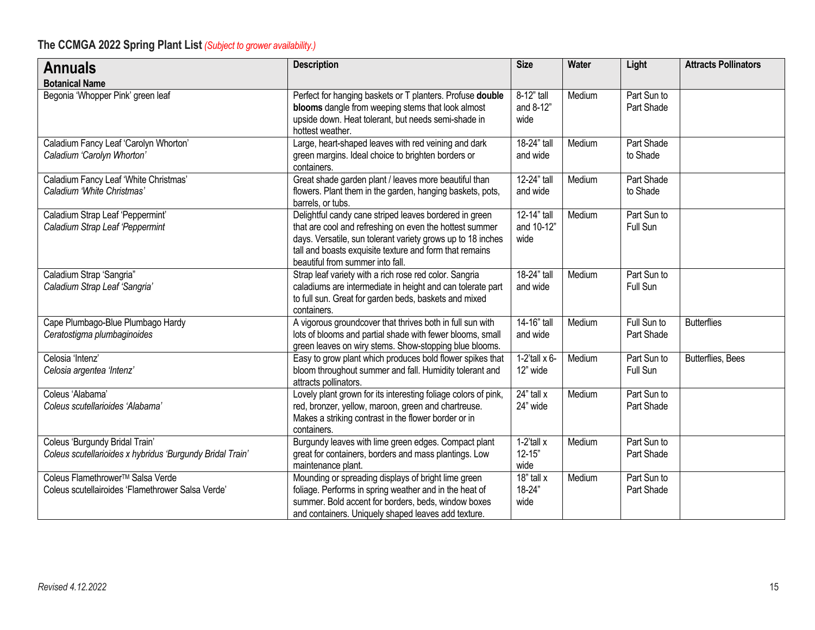| <b>Annuals</b>                                                                                    | <b>Description</b>                                                                                                                                                                                                                                                              | <b>Size</b>                         | <b>Water</b> | Light                     | <b>Attracts Pollinators</b> |
|---------------------------------------------------------------------------------------------------|---------------------------------------------------------------------------------------------------------------------------------------------------------------------------------------------------------------------------------------------------------------------------------|-------------------------------------|--------------|---------------------------|-----------------------------|
| <b>Botanical Name</b>                                                                             |                                                                                                                                                                                                                                                                                 |                                     |              |                           |                             |
| Begonia 'Whopper Pink' green leaf                                                                 | Perfect for hanging baskets or T planters. Profuse double<br>blooms dangle from weeping stems that look almost<br>upside down. Heat tolerant, but needs semi-shade in<br>hottest weather.                                                                                       | 8-12" tall<br>and 8-12"<br>wide     | Medium       | Part Sun to<br>Part Shade |                             |
| Caladium Fancy Leaf 'Carolyn Whorton'<br>Caladium 'Carolyn Whorton'                               | Large, heart-shaped leaves with red veining and dark<br>green margins. Ideal choice to brighten borders or<br>containers.                                                                                                                                                       | 18-24" tall<br>and wide             | Medium       | Part Shade<br>to Shade    |                             |
| Caladium Fancy Leaf 'White Christmas'<br>Caladium 'White Christmas'                               | Great shade garden plant / leaves more beautiful than<br>flowers. Plant them in the garden, hanging baskets, pots,<br>barrels, or tubs.                                                                                                                                         | 12-24" tall<br>and wide             | Medium       | Part Shade<br>to Shade    |                             |
| Caladium Strap Leaf 'Peppermint'<br>Caladium Strap Leaf 'Peppermint                               | Delightful candy cane striped leaves bordered in green<br>that are cool and refreshing on even the hottest summer<br>days. Versatile, sun tolerant variety grows up to 18 inches<br>tall and boasts exquisite texture and form that remains<br>beautiful from summer into fall. | 12-14" tall<br>and 10-12"<br>wide   | Medium       | Part Sun to<br>Full Sun   |                             |
| Caladium Strap 'Sangria"<br>Caladium Strap Leaf 'Sangria'                                         | Strap leaf variety with a rich rose red color. Sangria<br>caladiums are intermediate in height and can tolerate part<br>to full sun. Great for garden beds, baskets and mixed<br>containers.                                                                                    | 18-24" tall<br>and wide             | Medium       | Part Sun to<br>Full Sun   |                             |
| Cape Plumbago-Blue Plumbago Hardy<br>Ceratostigma plumbaginoides                                  | A vigorous groundcover that thrives both in full sun with<br>lots of blooms and partial shade with fewer blooms, small<br>green leaves on wiry stems. Show-stopping blue blooms.                                                                                                | 14-16" tall<br>and wide             | Medium       | Full Sun to<br>Part Shade | <b>Butterflies</b>          |
| Celosia 'Intenz'<br>Celosia argentea 'Intenz'                                                     | Easy to grow plant which produces bold flower spikes that<br>bloom throughout summer and fall. Humidity tolerant and<br>attracts pollinators.                                                                                                                                   | $1-2$ 'tall x 6-<br>12" wide        | Medium       | Part Sun to<br>Full Sun   | <b>Butterflies, Bees</b>    |
| Coleus 'Alabama'<br>Coleus scutellarioides 'Alabama'                                              | Lovely plant grown for its interesting foliage colors of pink,<br>red, bronzer, yellow, maroon, green and chartreuse.<br>Makes a striking contrast in the flower border or in<br>containers.                                                                                    | 24" tall x<br>24" wide              | Medium       | Part Sun to<br>Part Shade |                             |
| Coleus 'Burgundy Bridal Train'<br>Coleus scutellarioides x hybridus 'Burgundy Bridal Train'       | Burgundy leaves with lime green edges. Compact plant<br>great for containers, borders and mass plantings. Low<br>maintenance plant.                                                                                                                                             | $1-2$ 'tall x<br>$12 - 15"$<br>wide | Medium       | Part Sun to<br>Part Shade |                             |
| Coleus Flamethrower <sup>™</sup> Salsa Verde<br>Coleus scutellairoides 'Flamethrower Salsa Verde' | Mounding or spreading displays of bright lime green<br>foliage. Performs in spring weather and in the heat of<br>summer. Bold accent for borders, beds, window boxes<br>and containers. Uniquely shaped leaves add texture.                                                     | 18" tall x<br>18-24"<br>wide        | Medium       | Part Sun to<br>Part Shade |                             |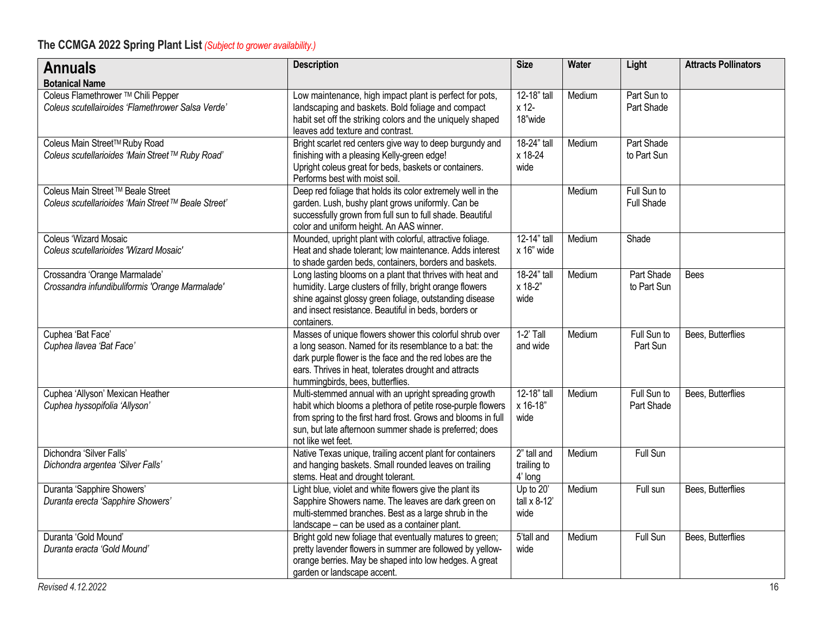| <b>Annuals</b><br><b>Botanical Name</b>                                                 | <b>Description</b>                                                                                                                                                                                                                                                          | <b>Size</b>                           | <b>Water</b> | Light                            | <b>Attracts Pollinators</b> |
|-----------------------------------------------------------------------------------------|-----------------------------------------------------------------------------------------------------------------------------------------------------------------------------------------------------------------------------------------------------------------------------|---------------------------------------|--------------|----------------------------------|-----------------------------|
| Coleus Flamethrower ™ Chili Pepper<br>Coleus scutellairoides 'Flamethrower Salsa Verde' | Low maintenance, high impact plant is perfect for pots,<br>landscaping and baskets. Bold foliage and compact<br>habit set off the striking colors and the uniquely shaped<br>leaves add texture and contrast.                                                               | 12-18" tall<br>x 12-<br>18"wide       | Medium       | Part Sun to<br>Part Shade        |                             |
| Coleus Main Street™ Ruby Road<br>Coleus scutellarioides 'Main Street ™ Ruby Road'       | Bright scarlet red centers give way to deep burgundy and<br>finishing with a pleasing Kelly-green edge!<br>Upright coleus great for beds, baskets or containers.<br>Performs best with moist soil.                                                                          | 18-24" tall<br>x 18-24<br>wide        | Medium       | Part Shade<br>to Part Sun        |                             |
| Coleus Main Street™ Beale Street<br>Coleus scutellarioides 'Main Street™ Beale Street'  | Deep red foliage that holds its color extremely well in the<br>garden. Lush, bushy plant grows uniformly. Can be<br>successfully grown from full sun to full shade. Beautiful<br>color and uniform height. An AAS winner.                                                   |                                       | Medium       | Full Sun to<br><b>Full Shade</b> |                             |
| <b>Coleus 'Wizard Mosaic</b><br>Coleus scutellarioides 'Wizard Mosaic'                  | Mounded, upright plant with colorful, attractive foliage.<br>Heat and shade tolerant; low maintenance. Adds interest<br>to shade garden beds, containers, borders and baskets.                                                                                              | 12-14" tall<br>x 16" wide             | Medium       | Shade                            |                             |
| Crossandra 'Orange Marmalade'<br>Crossandra infundibuliformis 'Orange Marmalade'        | Long lasting blooms on a plant that thrives with heat and<br>humidity. Large clusters of frilly, bright orange flowers<br>shine against glossy green foliage, outstanding disease<br>and insect resistance. Beautiful in beds, borders or<br>containers.                    | 18-24" tall<br>x 18-2"<br>wide        | Medium       | Part Shade<br>to Part Sun        | <b>Bees</b>                 |
| Cuphea 'Bat Face'<br>Cuphea llavea 'Bat Face'                                           | Masses of unique flowers shower this colorful shrub over<br>a long season. Named for its resemblance to a bat: the<br>dark purple flower is the face and the red lobes are the<br>ears. Thrives in heat, tolerates drought and attracts<br>hummingbirds, bees, butterflies. | $1-2'$ Tall<br>and wide               | Medium       | Full Sun to<br>Part Sun          | Bees, Butterflies           |
| Cuphea 'Allyson' Mexican Heather<br>Cuphea hyssopifolia 'Allyson'                       | Multi-stemmed annual with an upright spreading growth<br>habit which blooms a plethora of petite rose-purple flowers<br>from spring to the first hard frost. Grows and blooms in full<br>sun, but late afternoon summer shade is preferred; does<br>not like wet feet.      | 12-18" tall<br>x 16-18"<br>wide       | Medium       | Full Sun to<br>Part Shade        | Bees, Butterflies           |
| Dichondra 'Silver Falls'<br>Dichondra argentea 'Silver Falls'                           | Native Texas unique, trailing accent plant for containers<br>and hanging baskets. Small rounded leaves on trailing<br>stems. Heat and drought tolerant.                                                                                                                     | 2" tall and<br>trailing to<br>4' long | Medium       | Full Sun                         |                             |
| Duranta 'Sapphire Showers'<br>Duranta erecta 'Sapphire Showers'                         | Light blue, violet and white flowers give the plant its<br>Sapphire Showers name. The leaves are dark green on<br>multi-stemmed branches. Best as a large shrub in the<br>landscape - can be used as a container plant.                                                     | Up to $20'$<br>tall $x$ 8-12'<br>wide | Medium       | Full sun                         | Bees, Butterflies           |
| Duranta 'Gold Mound'<br>Duranta eracta 'Gold Mound'                                     | Bright gold new foliage that eventually matures to green;<br>pretty lavender flowers in summer are followed by yellow-<br>orange berries. May be shaped into low hedges. A great<br>garden or landscape accent.                                                             | 5'tall and<br>wide                    | Medium       | Full Sun                         | Bees, Butterflies           |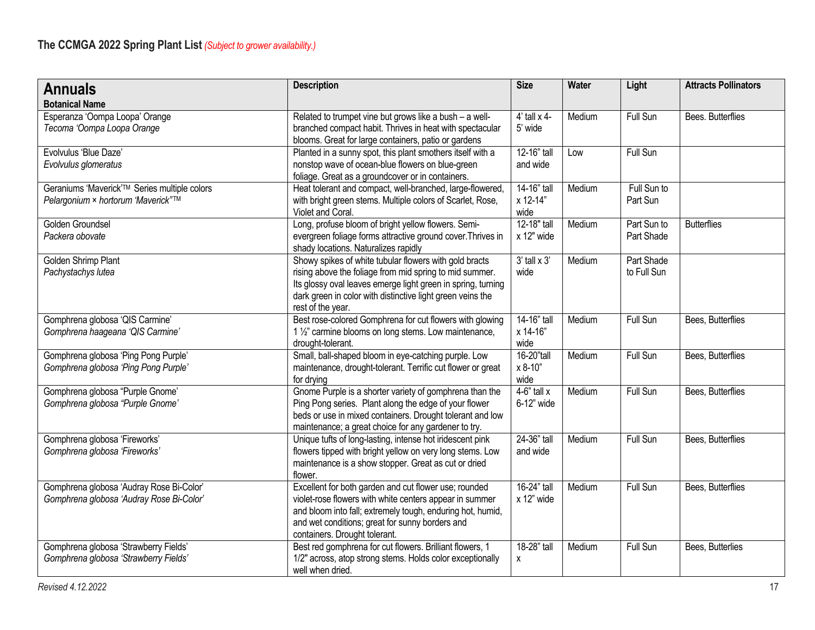| <b>Annuals</b>                               | <b>Description</b>                                                                                                | <b>Size</b>           | <b>Water</b> | Light           | <b>Attracts Pollinators</b> |
|----------------------------------------------|-------------------------------------------------------------------------------------------------------------------|-----------------------|--------------|-----------------|-----------------------------|
| <b>Botanical Name</b>                        |                                                                                                                   |                       |              |                 |                             |
| Esperanza 'Oompa Loopa' Orange               | Related to trumpet vine but grows like a bush - a well-                                                           | $4'$ tall $\times$ 4- | Medium       | Full Sun        | Bees. Butterflies           |
| Tecoma 'Oompa Loopa Orange                   | branched compact habit. Thrives in heat with spectacular                                                          | 5' wide               |              |                 |                             |
|                                              | blooms. Great for large containers, patio or gardens                                                              |                       |              |                 |                             |
| Evolvulus 'Blue Daze'                        | Planted in a sunny spot, this plant smothers itself with a                                                        | 12-16" tall           | Low          | Full Sun        |                             |
| Evolvulus glomeratus                         | nonstop wave of ocean-blue flowers on blue-green<br>foliage. Great as a groundcover or in containers.             | and wide              |              |                 |                             |
| Geraniums 'Maverick'™ Series multiple colors | Heat tolerant and compact, well-branched, large-flowered,                                                         | 14-16" tall           | Medium       | Full Sun to     |                             |
| Pelargonium × hortorum 'Maverick"™           | with bright green stems. Multiple colors of Scarlet, Rose,                                                        | x 12-14"              |              | Part Sun        |                             |
|                                              | Violet and Coral.                                                                                                 | wide                  |              |                 |                             |
| Golden Groundsel                             | Long, profuse bloom of bright yellow flowers. Semi-                                                               | 12-18" tall           | Medium       | Part Sun to     | <b>Butterflies</b>          |
| Packera obovate                              | evergreen foliage forms attractive ground cover. Thrives in                                                       | x 12" wide            |              | Part Shade      |                             |
|                                              | shady locations. Naturalizes rapidly                                                                              |                       |              |                 |                             |
| Golden Shrimp Plant                          | Showy spikes of white tubular flowers with gold bracts                                                            | $3'$ tall $\times 3'$ | Medium       | Part Shade      |                             |
| Pachystachys lutea                           | rising above the foliage from mid spring to mid summer.                                                           | wide                  |              | to Full Sun     |                             |
|                                              | Its glossy oval leaves emerge light green in spring, turning                                                      |                       |              |                 |                             |
|                                              | dark green in color with distinctive light green veins the<br>rest of the year.                                   |                       |              |                 |                             |
| Gomphrena globosa 'QIS Carmine'              | Best rose-colored Gomphrena for cut flowers with glowing                                                          | 14-16" tall           | Medium       | Full Sun        | Bees, Butterflies           |
| Gomphrena haageana 'QIS Carmine'             | 1 1/2" carmine blooms on long stems. Low maintenance,                                                             | x 14-16"              |              |                 |                             |
|                                              | drought-tolerant.                                                                                                 | wide                  |              |                 |                             |
| Gomphrena globosa 'Ping Pong Purple'         | Small, ball-shaped bloom in eye-catching purple. Low                                                              | 16-20"tall            | Medium       | Full Sun        | Bees, Butterflies           |
| Gomphrena globosa 'Ping Pong Purple'         | maintenance, drought-tolerant. Terrific cut flower or great                                                       | x 8-10"               |              |                 |                             |
|                                              | for drying                                                                                                        | wide                  |              |                 |                             |
| Gomphrena globosa "Purple Gnome"             | Gnome Purple is a shorter variety of gomphrena than the                                                           | $4-6"$ tall x         | Medium       | Full Sun        | Bees, Butterflies           |
| Gomphrena globosa "Purple Gnome"             | Ping Pong series. Plant along the edge of your flower                                                             | 6-12" wide            |              |                 |                             |
|                                              | beds or use in mixed containers. Drought tolerant and low<br>maintenance; a great choice for any gardener to try. |                       |              |                 |                             |
| Gomphrena globosa 'Fireworks'                | Unique tufts of long-lasting, intense hot iridescent pink                                                         | 24-36" tall           | Medium       | <b>Full Sun</b> | Bees, Butterflies           |
| Gomphrena globosa 'Fireworks'                | flowers tipped with bright yellow on very long stems. Low                                                         | and wide              |              |                 |                             |
|                                              | maintenance is a show stopper. Great as cut or dried                                                              |                       |              |                 |                             |
|                                              | flower.                                                                                                           |                       |              |                 |                             |
| Gomphrena globosa 'Audray Rose Bi-Color'     | Excellent for both garden and cut flower use; rounded                                                             | 16-24" tall           | Medium       | Full Sun        | Bees, Butterflies           |
| Gomphrena globosa 'Audray Rose Bi-Color'     | violet-rose flowers with white centers appear in summer                                                           | x 12" wide            |              |                 |                             |
|                                              | and bloom into fall; extremely tough, enduring hot, humid,                                                        |                       |              |                 |                             |
|                                              | and wet conditions; great for sunny borders and                                                                   |                       |              |                 |                             |
|                                              | containers. Drought tolerant.                                                                                     |                       |              |                 |                             |
| Gomphrena globosa 'Strawberry Fields'        | Best red gomphrena for cut flowers. Brilliant flowers, 1                                                          | 18-28" tall           | Medium       | Full Sun        | Bees, Butterlies            |
| Gomphrena globosa 'Strawberry Fields'        | 1/2" across, atop strong stems. Holds color exceptionally<br>well when dried.                                     | X                     |              |                 |                             |
|                                              |                                                                                                                   |                       |              |                 |                             |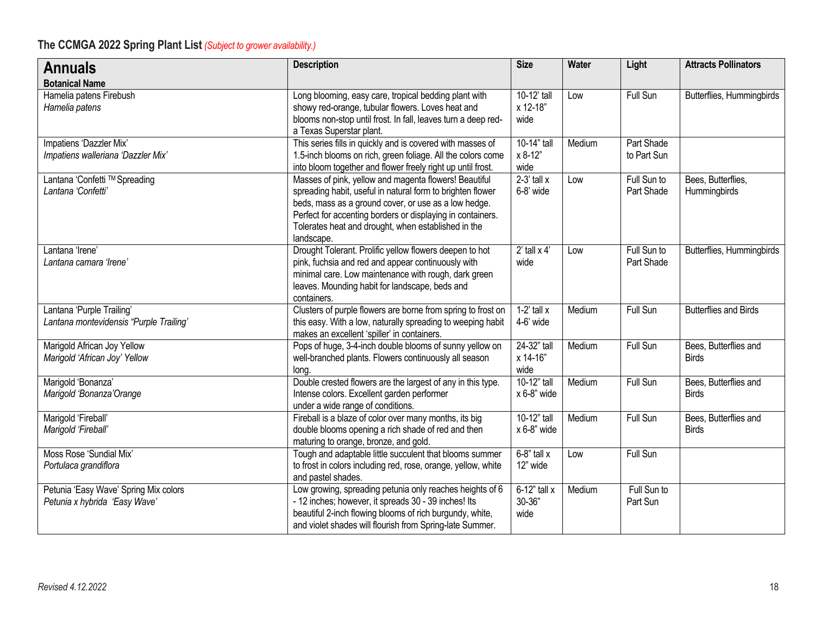| <b>Annuals</b>                                                         | <b>Description</b>                                                                                                                                                                                                                                                                                             | <b>Size</b>                      | Water  | Light                     | <b>Attracts Pollinators</b>           |
|------------------------------------------------------------------------|----------------------------------------------------------------------------------------------------------------------------------------------------------------------------------------------------------------------------------------------------------------------------------------------------------------|----------------------------------|--------|---------------------------|---------------------------------------|
| <b>Botanical Name</b>                                                  |                                                                                                                                                                                                                                                                                                                |                                  |        |                           |                                       |
| Hamelia patens Firebush<br>Hamelia patens                              | Long blooming, easy care, tropical bedding plant with<br>showy red-orange, tubular flowers. Loves heat and<br>blooms non-stop until frost. In fall, leaves turn a deep red-<br>a Texas Superstar plant.                                                                                                        | 10-12' tall<br>x 12-18"<br>wide  | Low    | <b>Full Sun</b>           | Butterflies, Hummingbirds             |
| Impatiens 'Dazzler Mix'<br>Impatiens walleriana 'Dazzler Mix'          | This series fills in quickly and is covered with masses of<br>1.5-inch blooms on rich, green foliage. All the colors come<br>into bloom together and flower freely right up until frost.                                                                                                                       | 10-14" tall<br>x 8-12"<br>wide   | Medium | Part Shade<br>to Part Sun |                                       |
| Lantana 'Confetti ™ Spreading<br>Lantana 'Confetti'                    | Masses of pink, yellow and magenta flowers! Beautiful<br>spreading habit, useful in natural form to brighten flower<br>beds, mass as a ground cover, or use as a low hedge.<br>Perfect for accenting borders or displaying in containers.<br>Tolerates heat and drought, when established in the<br>landscape. | $2-3'$ tall $x$<br>6-8' wide     | Low    | Full Sun to<br>Part Shade | Bees, Butterflies,<br>Hummingbirds    |
| Lantana 'Irene'<br>Lantana camara 'Irene'                              | Drought Tolerant. Prolific yellow flowers deepen to hot<br>pink, fuchsia and red and appear continuously with<br>minimal care. Low maintenance with rough, dark green<br>leaves. Mounding habit for landscape, beds and<br>containers.                                                                         | $2'$ tall $\times$ 4'<br>wide    | Low    | Full Sun to<br>Part Shade | Butterflies, Hummingbirds             |
| Lantana 'Purple Trailing'<br>Lantana montevidensis "Purple Trailing"   | Clusters of purple flowers are borne from spring to frost on<br>this easy. With a low, naturally spreading to weeping habit<br>makes an excellent 'spiller' in containers.                                                                                                                                     | $1-2$ ' tall x<br>4-6' wide      | Medium | Full Sun                  | Butterflies and Birds                 |
| Marigold African Joy Yellow<br>Marigold 'African Joy' Yellow           | Pops of huge, 3-4-inch double blooms of sunny yellow on<br>well-branched plants. Flowers continuously all season<br>long.                                                                                                                                                                                      | 24-32" tall<br>x 14-16"<br>wide  | Medium | Full Sun                  | Bees, Butterflies and<br><b>Birds</b> |
| Marigold 'Bonanza'<br>Marigold 'Bonanza' Orange                        | Double crested flowers are the largest of any in this type.<br>Intense colors. Excellent garden performer<br>under a wide range of conditions.                                                                                                                                                                 | 10-12" tall<br>x 6-8" wide       | Medium | Full Sun                  | Bees, Butterflies and<br><b>Birds</b> |
| Marigold 'Fireball'<br>Marigold 'Fireball'                             | Fireball is a blaze of color over many months, its big<br>double blooms opening a rich shade of red and then<br>maturing to orange, bronze, and gold.                                                                                                                                                          | 10-12" tall<br>$x 6-8$ " wide    | Medium | Full Sun                  | Bees, Butterflies and<br><b>Birds</b> |
| Moss Rose 'Sundial Mix'<br>Portulaca grandiflora                       | Tough and adaptable little succulent that blooms summer<br>to frost in colors including red, rose, orange, yellow, white<br>and pastel shades.                                                                                                                                                                 | $6-8$ " tall x<br>12" wide       | Low    | <b>Full Sun</b>           |                                       |
| Petunia 'Easy Wave' Spring Mix colors<br>Petunia x hybrida 'Easy Wave' | Low growing, spreading petunia only reaches heights of 6<br>- 12 inches; however, it spreads 30 - 39 inches! Its<br>beautiful 2-inch flowing blooms of rich burgundy, white,<br>and violet shades will flourish from Spring-late Summer.                                                                       | $6-12"$ tall x<br>30-36"<br>wide | Medium | Full Sun to<br>Part Sun   |                                       |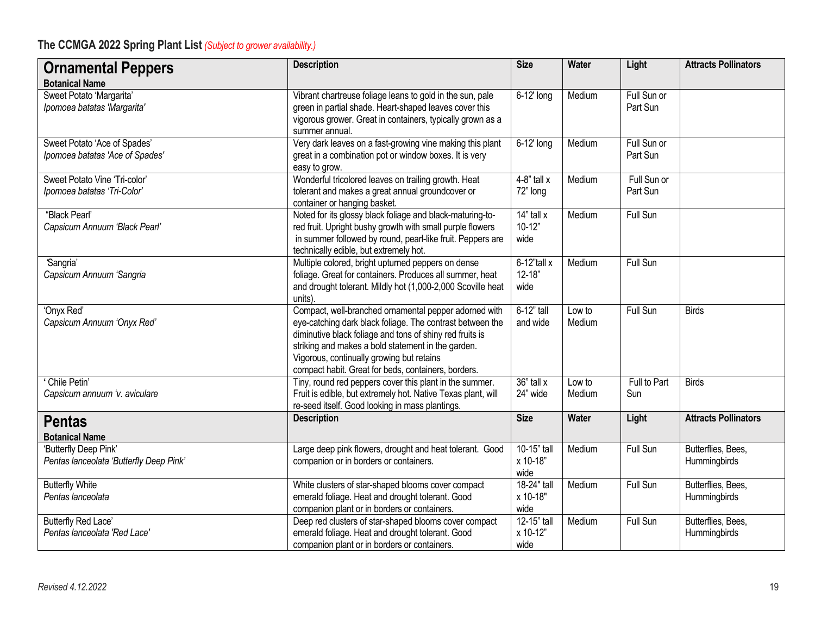| <b>Ornamental Peppers</b><br><b>Botanical Name</b>               | <b>Description</b>                                                                                                                                                                                                                                                                                                                       | <b>Size</b>                          | <b>Water</b>     | Light                   | <b>Attracts Pollinators</b>        |
|------------------------------------------------------------------|------------------------------------------------------------------------------------------------------------------------------------------------------------------------------------------------------------------------------------------------------------------------------------------------------------------------------------------|--------------------------------------|------------------|-------------------------|------------------------------------|
| Sweet Potato 'Margarita'<br>Ipomoea batatas 'Margarita'          | Vibrant chartreuse foliage leans to gold in the sun, pale<br>green in partial shade. Heart-shaped leaves cover this<br>vigorous grower. Great in containers, typically grown as a<br>summer annual.                                                                                                                                      | 6-12' long                           | Medium           | Full Sun or<br>Part Sun |                                    |
| Sweet Potato 'Ace of Spades'<br>Ipomoea batatas 'Ace of Spades'  | Very dark leaves on a fast-growing vine making this plant<br>great in a combination pot or window boxes. It is very<br>easy to grow.                                                                                                                                                                                                     | 6-12' long                           | Medium           | Full Sun or<br>Part Sun |                                    |
| Sweet Potato Vine 'Tri-color'<br>Ipomoea batatas 'Tri-Color'     | Wonderful tricolored leaves on trailing growth. Heat<br>tolerant and makes a great annual groundcover or<br>container or hanging basket.                                                                                                                                                                                                 | $4-8$ " tall x<br>72" long           | Medium           | Full Sun or<br>Part Sun |                                    |
| "Black Pearl"<br>Capsicum Annuum 'Black Pearl'                   | Noted for its glossy black foliage and black-maturing-to-<br>red fruit. Upright bushy growth with small purple flowers<br>in summer followed by round, pearl-like fruit. Peppers are<br>technically edible, but extremely hot.                                                                                                           | $14"$ tall x<br>$10-12"$<br>wide     | Medium           | Full Sun                |                                    |
| 'Sangria'<br>Capsicum Annuum 'Sangria                            | Multiple colored, bright upturned peppers on dense<br>foliage. Great for containers. Produces all summer, heat<br>and drought tolerant. Mildly hot (1,000-2,000 Scoville heat<br>units).                                                                                                                                                 | $6-12$ "tall x<br>$12 - 18"$<br>wide | Medium           | Full Sun                |                                    |
| 'Onyx Red'<br>Capsicum Annuum 'Onyx Red'                         | Compact, well-branched ornamental pepper adorned with<br>eye-catching dark black foliage. The contrast between the<br>diminutive black foliage and tons of shiny red fruits is<br>striking and makes a bold statement in the garden.<br>Vigorous, continually growing but retains<br>compact habit. Great for beds, containers, borders. | 6-12" tall<br>and wide               | Low to<br>Medium | Full Sun                | <b>Birds</b>                       |
| Chile Petin'<br>Capsicum annuum 'v. aviculare                    | Tiny, round red peppers cover this plant in the summer.<br>Fruit is edible, but extremely hot. Native Texas plant, will<br>re-seed itself. Good looking in mass plantings.                                                                                                                                                               | 36" tall x<br>24" wide               | Low to<br>Medium | Full to Part<br>Sun     | <b>Birds</b>                       |
| <b>Pentas</b><br><b>Botanical Name</b>                           | <b>Description</b>                                                                                                                                                                                                                                                                                                                       | <b>Size</b>                          | Water            | Light                   | <b>Attracts Pollinators</b>        |
| 'Butterfly Deep Pink'<br>Pentas lanceolata 'Butterfly Deep Pink' | Large deep pink flowers, drought and heat tolerant. Good<br>companion or in borders or containers.                                                                                                                                                                                                                                       | 10-15" tall<br>x 10-18"<br>wide      | Medium           | Full Sun                | Butterflies, Bees,<br>Hummingbirds |
| <b>Butterfly White</b><br>Pentas lanceolata                      | White clusters of star-shaped blooms cover compact<br>emerald foliage. Heat and drought tolerant. Good<br>companion plant or in borders or containers.                                                                                                                                                                                   | 18-24" tall<br>x 10-18"<br>wide      | Medium           | Full Sun                | Butterflies, Bees,<br>Hummingbirds |
| <b>Butterfly Red Lace'</b><br>Pentas lanceolata 'Red Lace'       | Deep red clusters of star-shaped blooms cover compact<br>emerald foliage. Heat and drought tolerant. Good<br>companion plant or in borders or containers.                                                                                                                                                                                | 12-15" tall<br>x 10-12"<br>wide      | Medium           | Full Sun                | Butterflies, Bees,<br>Hummingbirds |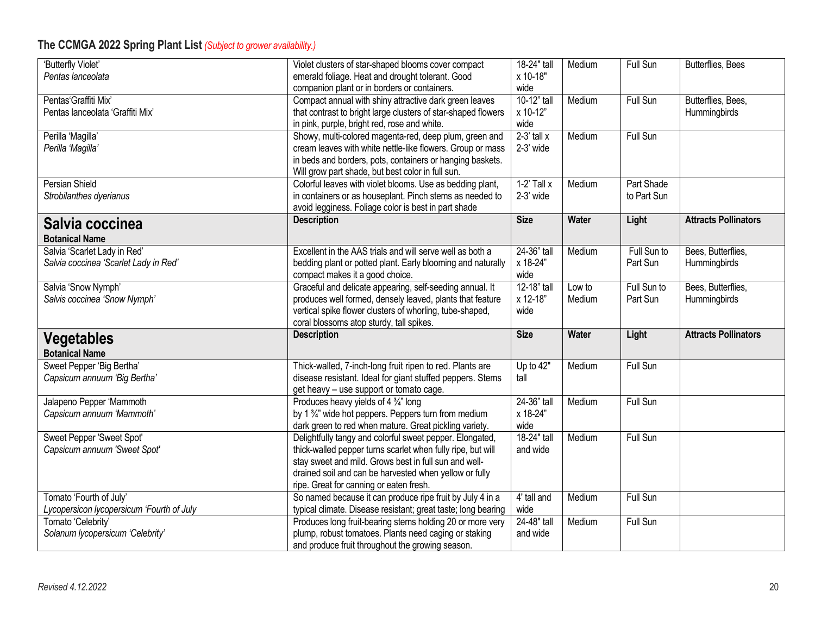| 'Butterfly Violet'                        | Violet clusters of star-shaped blooms cover compact                                                  | 18-24" tall     | Medium       | Full Sun        | Butterflies, Bees           |
|-------------------------------------------|------------------------------------------------------------------------------------------------------|-----------------|--------------|-----------------|-----------------------------|
| Pentas lanceolata                         | emerald foliage. Heat and drought tolerant. Good                                                     | x 10-18"        |              |                 |                             |
|                                           | companion plant or in borders or containers.                                                         | wide            |              |                 |                             |
| Pentas'Graffiti Mix'                      | Compact annual with shiny attractive dark green leaves                                               | 10-12" tall     | Medium       | Full Sun        | Butterflies, Bees,          |
| Pentas lanceolata 'Graffiti Mix'          | that contrast to bright large clusters of star-shaped flowers                                        | x 10-12"        |              |                 | Hummingbirds                |
|                                           | in pink, purple, bright red, rose and white.                                                         | wide            |              |                 |                             |
| Perilla 'Magilla'                         | Showy, multi-colored magenta-red, deep plum, green and                                               | $2-3'$ tall x   | Medium       | <b>Full Sun</b> |                             |
| Perilla 'Magilla'                         | cream leaves with white nettle-like flowers. Group or mass                                           | 2-3' wide       |              |                 |                             |
|                                           | in beds and borders, pots, containers or hanging baskets.                                            |                 |              |                 |                             |
|                                           | Will grow part shade, but best color in full sun.                                                    |                 |              |                 |                             |
| Persian Shield                            | Colorful leaves with violet blooms. Use as bedding plant,                                            | $1-2'$ Tall $x$ | Medium       | Part Shade      |                             |
| Strobilanthes dyerianus                   | in containers or as houseplant. Pinch stems as needed to                                             | $2-3'$ wide     |              | to Part Sun     |                             |
|                                           | avoid legginess. Foliage color is best in part shade                                                 |                 |              |                 |                             |
| Salvia coccinea                           | <b>Description</b>                                                                                   | <b>Size</b>     | <b>Water</b> | Light           | <b>Attracts Pollinators</b> |
| <b>Botanical Name</b>                     |                                                                                                      |                 |              |                 |                             |
| Salvia 'Scarlet Lady in Red'              | Excellent in the AAS trials and will serve well as both a                                            | $24-36"$ tall   | Medium       | Full Sun to     | Bees, Butterflies,          |
| Salvia coccinea 'Scarlet Lady in Red'     | bedding plant or potted plant. Early blooming and naturally                                          | x 18-24"        |              | Part Sun        | Hummingbirds                |
|                                           | compact makes it a good choice.                                                                      | wide            |              |                 |                             |
| Salvia 'Snow Nymph'                       | Graceful and delicate appearing, self-seeding annual. It                                             | 12-18" tall     | Low to       | Full Sun to     | Bees, Butterflies,          |
| Salvis coccinea 'Snow Nymph'              | produces well formed, densely leaved, plants that feature                                            | x 12-18"        | Medium       | Part Sun        | Hummingbirds                |
|                                           |                                                                                                      |                 |              |                 |                             |
|                                           |                                                                                                      |                 |              |                 |                             |
|                                           | vertical spike flower clusters of whorling, tube-shaped,                                             | wide            |              |                 |                             |
|                                           | coral blossoms atop sturdy, tall spikes.<br><b>Description</b>                                       | <b>Size</b>     | <b>Water</b> | Light           | <b>Attracts Pollinators</b> |
| <b>Vegetables</b>                         |                                                                                                      |                 |              |                 |                             |
| <b>Botanical Name</b>                     |                                                                                                      |                 |              |                 |                             |
| Sweet Pepper 'Big Bertha'                 | Thick-walled, 7-inch-long fruit ripen to red. Plants are                                             | Up to $42"$     | Medium       | Full Sun        |                             |
| Capsicum annuum 'Big Bertha'              | disease resistant. Ideal for giant stuffed peppers. Stems                                            | tall            |              |                 |                             |
|                                           | get heavy - use support or tomato cage.                                                              |                 |              |                 |                             |
| Jalapeno Pepper 'Mammoth                  | Produces heavy yields of 4 3/4" long                                                                 | 24-36" tall     | Medium       | <b>Full Sun</b> |                             |
| Capsicum annuum 'Mammoth'                 | by 1 3/4" wide hot peppers. Peppers turn from medium                                                 | x 18-24"        |              |                 |                             |
|                                           | dark green to red when mature. Great pickling variety.                                               | wide            |              |                 |                             |
| Sweet Pepper 'Sweet Spot'                 | Delightfully tangy and colorful sweet pepper. Elongated,                                             | 18-24" tall     | Medium       | Full Sun        |                             |
| Capsicum annuum 'Sweet Spot'              | thick-walled pepper turns scarlet when fully ripe, but will                                          | and wide        |              |                 |                             |
|                                           | stay sweet and mild. Grows best in full sun and well-                                                |                 |              |                 |                             |
|                                           | drained soil and can be harvested when yellow or fully                                               |                 |              |                 |                             |
| Tomato 'Fourth of July'                   | ripe. Great for canning or eaten fresh.<br>So named because it can produce ripe fruit by July 4 in a | 4' tall and     | Medium       | Full Sun        |                             |
| Lycopersicon lycopersicum 'Fourth of July | typical climate. Disease resistant; great taste; long bearing                                        | wide            |              |                 |                             |
| Tomato 'Celebrity'                        | Produces long fruit-bearing stems holding 20 or more very                                            | 24-48" tall     | Medium       | Full Sun        |                             |
| Solanum lycopersicum 'Celebrity'          | plump, robust tomatoes. Plants need caging or staking                                                | and wide        |              |                 |                             |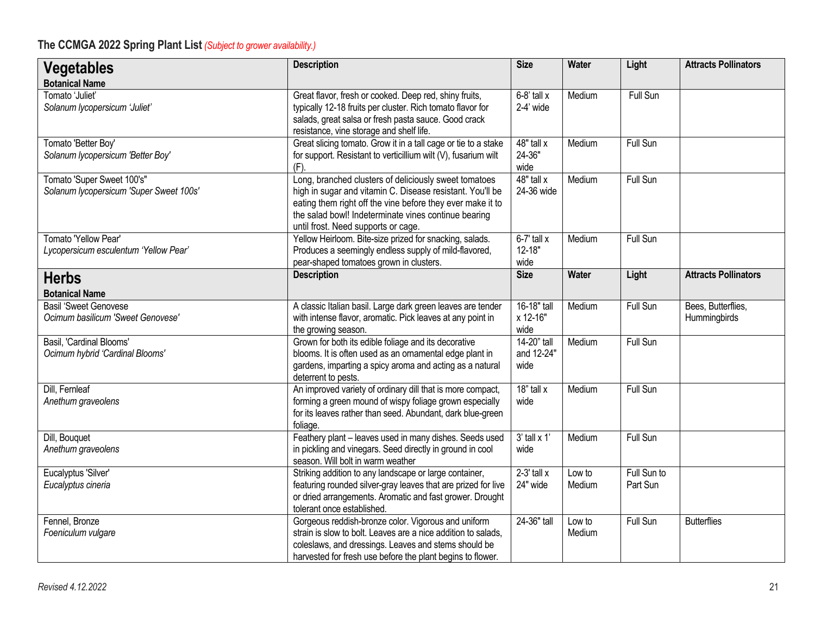| <b>Vegetables</b><br><b>Botanical Name</b>                            | <b>Description</b>                                                                                                                                                                                                                                                              | <b>Size</b>                            | <b>Water</b>     | Light                   | <b>Attracts Pollinators</b>        |
|-----------------------------------------------------------------------|---------------------------------------------------------------------------------------------------------------------------------------------------------------------------------------------------------------------------------------------------------------------------------|----------------------------------------|------------------|-------------------------|------------------------------------|
| Tomato 'Juliet'<br>Solanum lycopersicum 'Juliet'                      | Great flavor, fresh or cooked. Deep red, shiny fruits,<br>typically 12-18 fruits per cluster. Rich tomato flavor for<br>salads, great salsa or fresh pasta sauce. Good crack<br>resistance, vine storage and shelf life.                                                        | $\overline{6}$ -8' tall x<br>2-4' wide | Medium           | Full Sun                |                                    |
| Tomato 'Better Boy'<br>Solanum lycopersicum 'Better Boy'              | Great slicing tomato. Grow it in a tall cage or tie to a stake<br>for support. Resistant to verticillium wilt (V), fusarium wilt<br>$(F)$ .                                                                                                                                     | 48" tall x<br>24-36"<br>wide           | Medium           | Full Sun                |                                    |
| Tomato 'Super Sweet 100's"<br>Solanum lycopersicum 'Super Sweet 100s' | Long, branched clusters of deliciously sweet tomatoes<br>high in sugar and vitamin C. Disease resistant. You'll be<br>eating them right off the vine before they ever make it to<br>the salad bowl! Indeterminate vines continue bearing<br>until frost. Need supports or cage. | $48"$ tall x<br>24-36 wide             | Medium           | Full Sun                |                                    |
| Tomato 'Yellow Pear'<br>Lycopersicum esculentum 'Yellow Pear'         | Yellow Heirloom. Bite-size prized for snacking, salads.<br>Produces a seemingly endless supply of mild-flavored,<br>pear-shaped tomatoes grown in clusters.                                                                                                                     | $6-7'$ tall x<br>$12 - 18"$<br>wide    | Medium           | Full Sun                |                                    |
| <b>Herbs</b><br><b>Botanical Name</b>                                 | <b>Description</b>                                                                                                                                                                                                                                                              | <b>Size</b>                            | <b>Water</b>     | Light                   | <b>Attracts Pollinators</b>        |
| <b>Basil 'Sweet Genovese</b><br>Ocimum basilicum 'Sweet Genovese'     | A classic Italian basil. Large dark green leaves are tender<br>with intense flavor, aromatic. Pick leaves at any point in<br>the growing season.                                                                                                                                | 16-18" tall<br>x 12-16"<br>wide        | Medium           | Full Sun                | Bees, Butterflies,<br>Hummingbirds |
| Basil, 'Cardinal Blooms'<br>Ocimum hybrid 'Cardinal Blooms'           | Grown for both its edible foliage and its decorative<br>blooms. It is often used as an ornamental edge plant in<br>gardens, imparting a spicy aroma and acting as a natural<br>deterrent to pests.                                                                              | 14-20" tall<br>and 12-24"<br>wide      | Medium           | Full Sun                |                                    |
| Dill, Fernleaf<br>Anethum graveolens                                  | An improved variety of ordinary dill that is more compact,<br>forming a green mound of wispy foliage grown especially<br>for its leaves rather than seed. Abundant, dark blue-green<br>foliage.                                                                                 | $18"$ tall x<br>wide                   | Medium           | Full Sun                |                                    |
| Dill, Bouquet<br>Anethum graveolens                                   | Feathery plant - leaves used in many dishes. Seeds used<br>in pickling and vinegars. Seed directly in ground in cool<br>season. Will bolt in warm weather                                                                                                                       | $3'$ tall x 1<br>wide                  | Medium           | Full Sun                |                                    |
| Eucalyptus 'Silver'<br>Eucalyptus cineria                             | Striking addition to any landscape or large container,<br>featuring rounded silver-gray leaves that are prized for live<br>or dried arrangements. Aromatic and fast grower. Drought<br>tolerant once established.                                                               | $2-3'$ tall $x$<br>24" wide            | Low to<br>Medium | Full Sun to<br>Part Sun |                                    |
| Fennel, Bronze<br>Foeniculum vulgare                                  | Gorgeous reddish-bronze color. Vigorous and uniform<br>strain is slow to bolt. Leaves are a nice addition to salads,<br>coleslaws, and dressings. Leaves and stems should be<br>harvested for fresh use before the plant begins to flower.                                      | 24-36" tall                            | Low to<br>Medium | Full Sun                | <b>Butterflies</b>                 |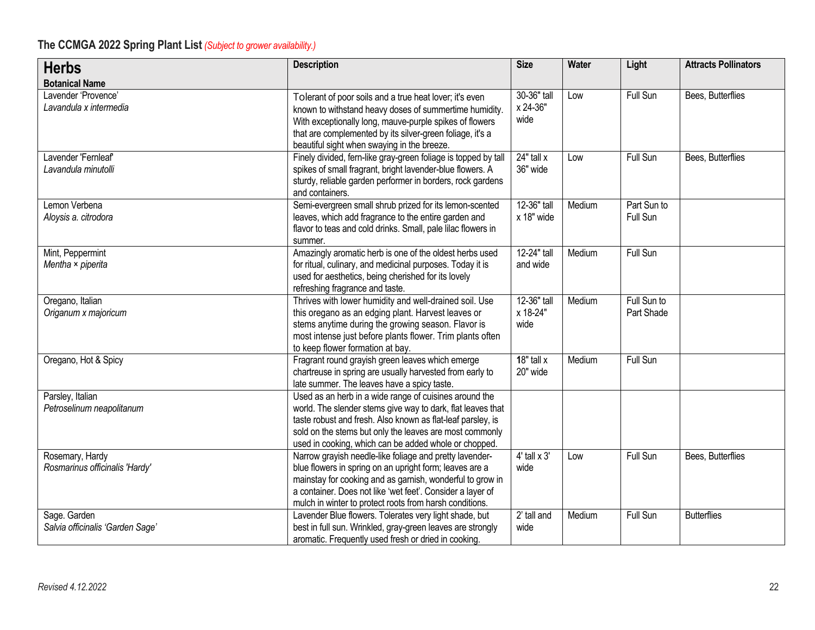| <b>Herbs</b>                                      | <b>Description</b>                                                                                                                                                                                                                                                                                       | <b>Size</b>                     | Water  | Light                     | <b>Attracts Pollinators</b> |
|---------------------------------------------------|----------------------------------------------------------------------------------------------------------------------------------------------------------------------------------------------------------------------------------------------------------------------------------------------------------|---------------------------------|--------|---------------------------|-----------------------------|
| <b>Botanical Name</b>                             |                                                                                                                                                                                                                                                                                                          |                                 |        |                           |                             |
| Lavender 'Provence'<br>Lavandula x intermedia     | Tolerant of poor soils and a true heat lover; it's even<br>known to withstand heavy doses of summertime humidity.<br>With exceptionally long, mauve-purple spikes of flowers<br>that are complemented by its silver-green foliage, it's a<br>beautiful sight when swaying in the breeze.                 | 30-36" tall<br>x 24-36"<br>wide | Low    | Full Sun                  | Bees, Butterflies           |
| Lavender 'Fernleaf'<br>Lavandula minutolli        | Finely divided, fern-like gray-green foliage is topped by tall<br>spikes of small fragrant, bright lavender-blue flowers. A<br>sturdy, reliable garden performer in borders, rock gardens<br>and containers.                                                                                             | 24" tall x<br>36" wide          | Low    | Full Sun                  | Bees, Butterflies           |
| Lemon Verbena<br>Aloysis a. citrodora             | Semi-evergreen small shrub prized for its lemon-scented<br>leaves, which add fragrance to the entire garden and<br>flavor to teas and cold drinks. Small, pale lilac flowers in<br>summer.                                                                                                               | 12-36" tall<br>x 18" wide       | Medium | Part Sun to<br>Full Sun   |                             |
| Mint, Peppermint<br>Mentha × piperita             | Amazingly aromatic herb is one of the oldest herbs used<br>for ritual, culinary, and medicinal purposes. Today it is<br>used for aesthetics, being cherished for its lovely<br>refreshing fragrance and taste.                                                                                           | 12-24" tall<br>and wide         | Medium | Full Sun                  |                             |
| Oregano, Italian<br>Origanum x majoricum          | Thrives with lower humidity and well-drained soil. Use<br>this oregano as an edging plant. Harvest leaves or<br>stems anytime during the growing season. Flavor is<br>most intense just before plants flower. Trim plants often<br>to keep flower formation at bay.                                      | 12-36" tall<br>x 18-24"<br>wide | Medium | Full Sun to<br>Part Shade |                             |
| Oregano, Hot & Spicy                              | Fragrant round grayish green leaves which emerge<br>chartreuse in spring are usually harvested from early to<br>late summer. The leaves have a spicy taste.                                                                                                                                              | $18"$ tall x<br>20" wide        | Medium | <b>Full Sun</b>           |                             |
| Parsley, Italian<br>Petroselinum neapolitanum     | Used as an herb in a wide range of cuisines around the<br>world. The slender stems give way to dark, flat leaves that<br>taste robust and fresh. Also known as flat-leaf parsley, is<br>sold on the stems but only the leaves are most commonly<br>used in cooking, which can be added whole or chopped. |                                 |        |                           |                             |
| Rosemary, Hardy<br>Rosmarinus officinalis 'Hardy' | Narrow grayish needle-like foliage and pretty lavender-<br>blue flowers in spring on an upright form; leaves are a<br>mainstay for cooking and as garnish, wonderful to grow in<br>a container. Does not like 'wet feet'. Consider a layer of<br>mulch in winter to protect roots from harsh conditions. | $4'$ tall $\times 3'$<br>wide   | Low    | Full Sun                  | Bees, Butterflies           |
| Sage. Garden<br>Salvia officinalis 'Garden Sage'  | Lavender Blue flowers. Tolerates very light shade, but<br>best in full sun. Wrinkled, gray-green leaves are strongly<br>aromatic. Frequently used fresh or dried in cooking.                                                                                                                             | 2' tall and<br>wide             | Medium | Full Sun                  | <b>Butterflies</b>          |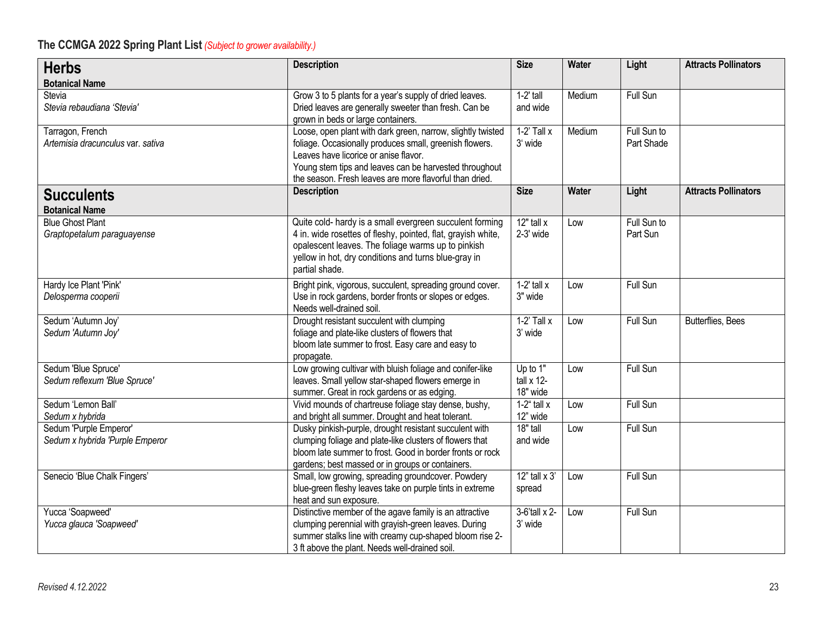| <b>Herbs</b>                                              | <b>Description</b>                                                                                                                                                                                                                                                                   | <b>Size</b>                          | Water  | Light                     | <b>Attracts Pollinators</b> |
|-----------------------------------------------------------|--------------------------------------------------------------------------------------------------------------------------------------------------------------------------------------------------------------------------------------------------------------------------------------|--------------------------------------|--------|---------------------------|-----------------------------|
| <b>Botanical Name</b>                                     |                                                                                                                                                                                                                                                                                      |                                      |        |                           |                             |
| Stevia<br>Stevia rebaudiana 'Stevia'                      | Grow 3 to 5 plants for a year's supply of dried leaves.<br>Dried leaves are generally sweeter than fresh. Can be<br>grown in beds or large containers.                                                                                                                               | $1-2'$ tall<br>and wide              | Medium | Full Sun                  |                             |
| Tarragon, French<br>Artemisia dracunculus var. sativa     | Loose, open plant with dark green, narrow, slightly twisted<br>foliage. Occasionally produces small, greenish flowers.<br>Leaves have licorice or anise flavor.<br>Young stem tips and leaves can be harvested throughout<br>the season. Fresh leaves are more flavorful than dried. | $1-2'$ Tall x<br>3' wide             | Medium | Full Sun to<br>Part Shade |                             |
| <b>Succulents</b><br><b>Botanical Name</b>                | <b>Description</b>                                                                                                                                                                                                                                                                   | <b>Size</b>                          | Water  | Light                     | <b>Attracts Pollinators</b> |
| <b>Blue Ghost Plant</b><br>Graptopetalum paraguayense     | Quite cold- hardy is a small evergreen succulent forming<br>4 in. wide rosettes of fleshy, pointed, flat, grayish white,<br>opalescent leaves. The foliage warms up to pinkish<br>yellow in hot, dry conditions and turns blue-gray in<br>partial shade.                             | $12"$ tall x<br>2-3' wide            | Low    | Full Sun to<br>Part Sun   |                             |
| Hardy Ice Plant 'Pink'<br>Delosperma cooperii             | Bright pink, vigorous, succulent, spreading ground cover.<br>Use in rock gardens, border fronts or slopes or edges.<br>Needs well-drained soil.                                                                                                                                      | $1-2'$ tall $x$<br>3" wide           | Low    | Full Sun                  |                             |
| Sedum 'Autumn Joy'<br>Sedum 'Autumn Joy'                  | Drought resistant succulent with clumping<br>foliage and plate-like clusters of flowers that<br>bloom late summer to frost. Easy care and easy to<br>propagate.                                                                                                                      | $1-2'$ Tall x<br>3' wide             | Low    | Full Sun                  | Butterflies, Bees           |
| Sedum 'Blue Spruce'<br>Sedum reflexum 'Blue Spruce'       | Low growing cultivar with bluish foliage and conifer-like<br>leaves. Small yellow star-shaped flowers emerge in<br>summer. Great in rock gardens or as edging.                                                                                                                       | Up to 1"<br>tall $x$ 12-<br>18" wide | Low    | Full Sun                  |                             |
| Sedum 'Lemon Ball'<br>Sedum x hybrida                     | Vivid mounds of chartreuse foliage stay dense, bushy,<br>and bright all summer. Drought and heat tolerant.                                                                                                                                                                           | $1-2^{\circ}$ tall x<br>12" wide     | Low    | Full Sun                  |                             |
| Sedum 'Purple Emperor'<br>Sedum x hybrida 'Purple Emperor | Dusky pinkish-purple, drought resistant succulent with<br>clumping foliage and plate-like clusters of flowers that<br>bloom late summer to frost. Good in border fronts or rock<br>gardens; best massed or in groups or containers.                                                  | 18" tall<br>and wide                 | Low    | Full Sun                  |                             |
| Senecio 'Blue Chalk Fingers'                              | Small, low growing, spreading groundcover. Powdery<br>blue-green fleshy leaves take on purple tints in extreme<br>heat and sun exposure.                                                                                                                                             | $12$ " tall x $3'$<br>spread         | Low    | Full Sun                  |                             |
| Yucca 'Soapweed'<br>Yucca glauca 'Soapweed'               | Distinctive member of the agave family is an attractive<br>clumping perennial with grayish-green leaves. During<br>summer stalks line with creamy cup-shaped bloom rise 2-<br>3 ft above the plant. Needs well-drained soil.                                                         | 3-6'tall x 2-<br>3' wide             | Low    | Full Sun                  |                             |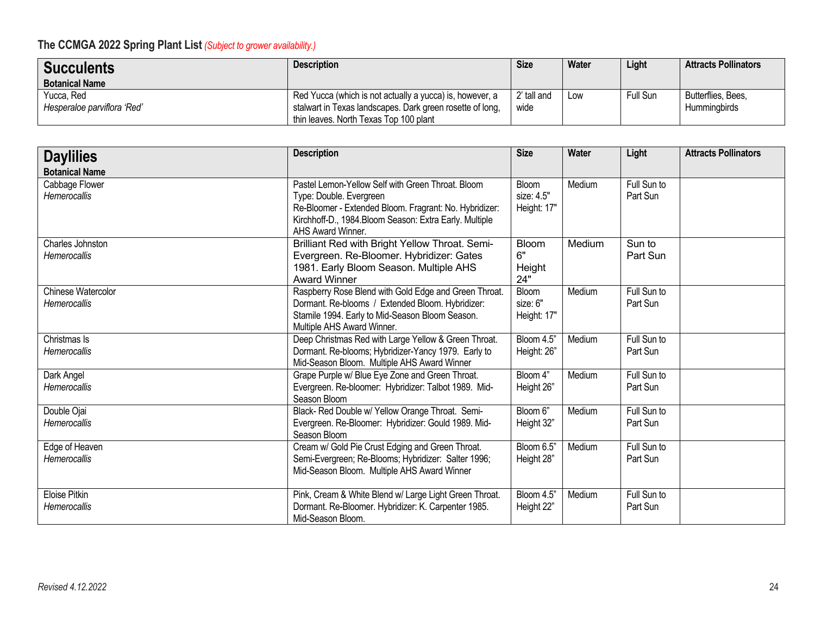| <b>Succulents</b>           | <b>Description</b>                                        | <b>Size</b> | Water | Light    | <b>Attracts Pollinators</b> |
|-----------------------------|-----------------------------------------------------------|-------------|-------|----------|-----------------------------|
| <b>Botanical Name</b>       |                                                           |             |       |          |                             |
| Yucca, Red                  | Red Yucca (which is not actually a yucca) is, however, a  | 2' tall and | Low   | Full Sun | Butterflies, Bees,          |
| Hesperaloe parviflora 'Red' | stalwart in Texas landscapes. Dark green rosette of long, | wide        |       |          | Humminabirds                |
|                             | thin leaves. North Texas Top 100 plant                    |             |       |          |                             |

| <b>Daylilies</b>                          | <b>Description</b>                                                                                                                                                                                                    | <b>Size</b>                               | Water  | Light                   | <b>Attracts Pollinators</b> |
|-------------------------------------------|-----------------------------------------------------------------------------------------------------------------------------------------------------------------------------------------------------------------------|-------------------------------------------|--------|-------------------------|-----------------------------|
| <b>Botanical Name</b>                     |                                                                                                                                                                                                                       |                                           |        |                         |                             |
| Cabbage Flower<br><b>Hemerocallis</b>     | Pastel Lemon-Yellow Self with Green Throat. Bloom<br>Type: Double. Evergreen<br>Re-Bloomer - Extended Bloom. Fragrant: No. Hybridizer:<br>Kirchhoff-D., 1984.Bloom Season: Extra Early. Multiple<br>AHS Award Winner. | <b>Bloom</b><br>size: 4.5"<br>Height: 17" | Medium | Full Sun to<br>Part Sun |                             |
| Charles Johnston<br><b>Hemerocallis</b>   | Brilliant Red with Bright Yellow Throat. Semi-<br>Evergreen. Re-Bloomer. Hybridizer: Gates<br>1981. Early Bloom Season. Multiple AHS<br><b>Award Winner</b>                                                           | <b>Bloom</b><br>6"<br>Height<br>24"       | Medium | Sun to<br>Part Sun      |                             |
| Chinese Watercolor<br><b>Hemerocallis</b> | Raspberry Rose Blend with Gold Edge and Green Throat.<br>Dormant. Re-blooms / Extended Bloom. Hybridizer:<br>Stamile 1994. Early to Mid-Season Bloom Season.<br>Multiple AHS Award Winner.                            | Bloom<br>size: 6"<br>Height: 17"          | Medium | Full Sun to<br>Part Sun |                             |
| Christmas Is<br>Hemerocallis              | Deep Christmas Red with Large Yellow & Green Throat.<br>Dormant. Re-blooms; Hybridizer-Yancy 1979. Early to<br>Mid-Season Bloom. Multiple AHS Award Winner                                                            | Bloom 4.5"<br>Height: 26"                 | Medium | Full Sun to<br>Part Sun |                             |
| Dark Angel<br>Hemerocallis                | Grape Purple w/ Blue Eye Zone and Green Throat.<br>Evergreen. Re-bloomer: Hybridizer: Talbot 1989. Mid-<br>Season Bloom                                                                                               | Bloom 4"<br>Height 26"                    | Medium | Full Sun to<br>Part Sun |                             |
| Double Ojai<br><b>Hemerocallis</b>        | Black- Red Double w/ Yellow Orange Throat. Semi-<br>Evergreen. Re-Bloomer: Hybridizer: Gould 1989. Mid-<br>Season Bloom                                                                                               | Bloom 6"<br>Height 32"                    | Medium | Full Sun to<br>Part Sun |                             |
| Edge of Heaven<br><b>Hemerocallis</b>     | Cream w/ Gold Pie Crust Edging and Green Throat.<br>Semi-Evergreen; Re-Blooms; Hybridizer: Salter 1996;<br>Mid-Season Bloom. Multiple AHS Award Winner                                                                | Bloom 6.5"<br>Height 28"                  | Medium | Full Sun to<br>Part Sun |                             |
| <b>Eloise Pitkin</b><br>Hemerocallis      | Pink, Cream & White Blend w/ Large Light Green Throat.<br>Dormant. Re-Bloomer. Hybridizer: K. Carpenter 1985.<br>Mid-Season Bloom.                                                                                    | Bloom 4.5"<br>Height 22"                  | Medium | Full Sun to<br>Part Sun |                             |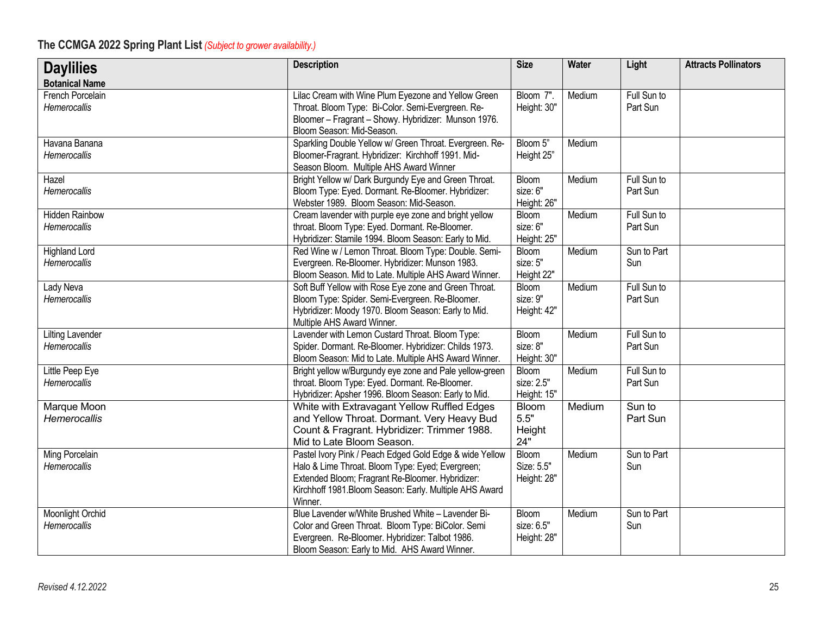| <b>Daylilies</b>                               | <b>Description</b>                                                                                                                                                                                                                    | <b>Size</b>                        | Water  | Light                   | <b>Attracts Pollinators</b> |
|------------------------------------------------|---------------------------------------------------------------------------------------------------------------------------------------------------------------------------------------------------------------------------------------|------------------------------------|--------|-------------------------|-----------------------------|
| <b>Botanical Name</b>                          |                                                                                                                                                                                                                                       |                                    |        |                         |                             |
| French Porcelain<br>Hemerocallis               | Lilac Cream with Wine Plum Eyezone and Yellow Green<br>Throat. Bloom Type: Bi-Color. Semi-Evergreen. Re-<br>Bloomer - Fragrant - Showy. Hybridizer: Munson 1976.<br>Bloom Season: Mid-Season.                                         | Bloom 7".<br>Height: 30"           | Medium | Full Sun to<br>Part Sun |                             |
| Havana Banana<br>Hemerocallis                  | Sparkling Double Yellow w/ Green Throat. Evergreen. Re-<br>Bloomer-Fragrant. Hybridizer: Kirchhoff 1991. Mid-<br>Season Bloom. Multiple AHS Award Winner                                                                              | Bloom 5"<br>Height 25"             | Medium |                         |                             |
| Hazel<br>Hemerocallis                          | Bright Yellow w/ Dark Burgundy Eye and Green Throat.<br>Bloom Type: Eyed. Dormant. Re-Bloomer. Hybridizer:<br>Webster 1989. Bloom Season: Mid-Season.                                                                                 | Bloom<br>size: 6"<br>Height: 26"   | Medium | Full Sun to<br>Part Sun |                             |
| <b>Hidden Rainbow</b><br>Hemerocallis          | Cream lavender with purple eye zone and bright yellow<br>throat. Bloom Type: Eyed. Dormant. Re-Bloomer.<br>Hybridizer: Stamile 1994. Bloom Season: Early to Mid.                                                                      | Bloom<br>size: 6"<br>Height: 25"   | Medium | Full Sun to<br>Part Sun |                             |
| <b>Highland Lord</b><br><b>Hemerocallis</b>    | Red Wine w / Lemon Throat. Bloom Type: Double. Semi-<br>Evergreen. Re-Bloomer. Hybridizer: Munson 1983.<br>Bloom Season. Mid to Late. Multiple AHS Award Winner.                                                                      | Bloom<br>size: 5"<br>Height 22"    | Medium | Sun to Part<br>Sun      |                             |
| Lady Neva<br><b>Hemerocallis</b>               | Soft Buff Yellow with Rose Eye zone and Green Throat.<br>Bloom Type: Spider. Semi-Evergreen. Re-Bloomer.<br>Hybridizer: Moody 1970. Bloom Season: Early to Mid.<br>Multiple AHS Award Winner.                                         | Bloom<br>size: 9"<br>Height: 42"   | Medium | Full Sun to<br>Part Sun |                             |
| <b>Lilting Lavender</b><br><b>Hemerocallis</b> | Lavender with Lemon Custard Throat. Bloom Type:<br>Spider. Dormant. Re-Bloomer. Hybridizer: Childs 1973.<br>Bloom Season: Mid to Late. Multiple AHS Award Winner.                                                                     | Bloom<br>size: 8"<br>Height: 30"   | Medium | Full Sun to<br>Part Sun |                             |
| Little Peep Eye<br>Hemerocallis                | Bright yellow w/Burgundy eye zone and Pale yellow-green<br>throat. Bloom Type: Eyed. Dormant. Re-Bloomer.<br>Hybridizer: Apsher 1996. Bloom Season: Early to Mid.                                                                     | Bloom<br>size: 2.5"<br>Height: 15" | Medium | Full Sun to<br>Part Sun |                             |
| Marque Moon<br>Hemerocallis                    | White with Extravagant Yellow Ruffled Edges<br>and Yellow Throat. Dormant. Very Heavy Bud<br>Count & Fragrant. Hybridizer: Trimmer 1988.<br>Mid to Late Bloom Season.                                                                 | Bloom<br>$5.5"$<br>Height<br>24"   | Medium | Sun to<br>Part Sun      |                             |
| <b>Ming Porcelain</b><br>Hemerocallis          | Pastel Ivory Pink / Peach Edged Gold Edge & wide Yellow<br>Halo & Lime Throat. Bloom Type: Eyed; Evergreen;<br>Extended Bloom; Fragrant Re-Bloomer. Hybridizer:<br>Kirchhoff 1981. Bloom Season: Early. Multiple AHS Award<br>Winner. | Bloom<br>Size: 5.5"<br>Height: 28" | Medium | Sun to Part<br>Sun      |                             |
| Moonlight Orchid<br>Hemerocallis               | Blue Lavender w/White Brushed White - Lavender Bi-<br>Color and Green Throat. Bloom Type: BiColor. Semi<br>Evergreen. Re-Bloomer. Hybridizer: Talbot 1986.<br>Bloom Season: Early to Mid. AHS Award Winner.                           | Bloom<br>size: 6.5"<br>Height: 28" | Medium | Sun to Part<br>Sun      |                             |